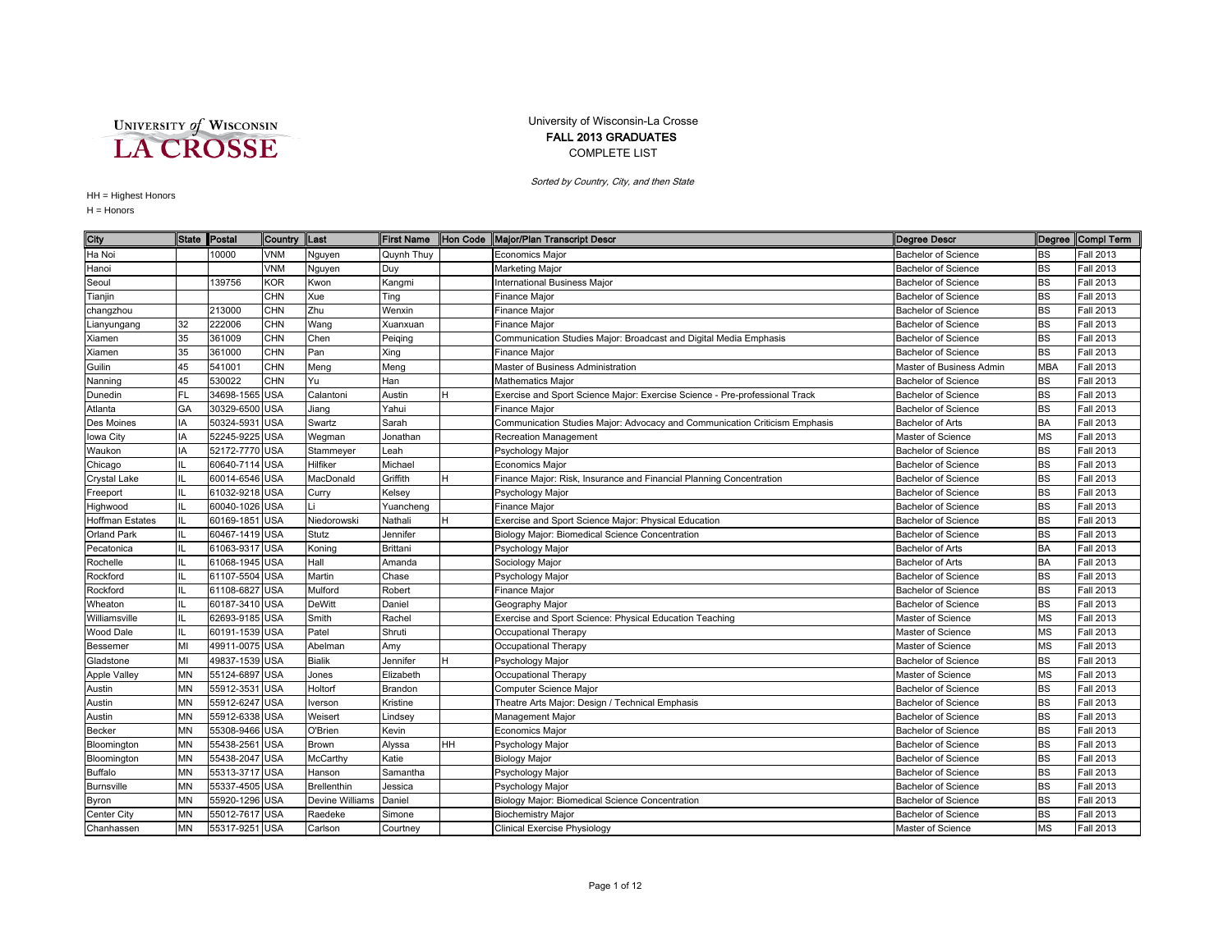

## University of Wisconsin-La Crosse FALL 2013 GRADUATES COMPLETE LIST

Sorted by Country, City, and then State

## HH = Highest Honors

H = Honors

| City                   | State Postal |                | Country Last |                    |            |    | First Name Hon Code Major/Plan Transcript Descr                             | <b>Degree Descr</b>        |            | Degree Compi Term |
|------------------------|--------------|----------------|--------------|--------------------|------------|----|-----------------------------------------------------------------------------|----------------------------|------------|-------------------|
| Ha Noi                 |              | 10000          | VNM          | Nguyen             | Quynh Thuy |    | <b>Economics Maior</b>                                                      | Bachelor of Science        | <b>BS</b>  | <b>Fall 2013</b>  |
| Hanoi                  |              |                | VNM          | Nguyen             | Duy        |    | <b>Marketing Major</b>                                                      | <b>Bachelor of Science</b> | <b>BS</b>  | <b>Fall 2013</b>  |
| Seoul                  |              | 139756         | <b>KOR</b>   | Kwon               | Kangmi     |    | International Business Major                                                | <b>Bachelor of Science</b> | <b>BS</b>  | <b>Fall 2013</b>  |
| Tianjin                |              |                | CHN          | Xue                | Ting       |    | Finance Major                                                               | <b>Bachelor of Science</b> | <b>BS</b>  | <b>Fall 2013</b>  |
| changzhou              |              | 213000         | <b>CHN</b>   | Zhu                | Wenxin     |    | <b>Finance Major</b>                                                        | <b>Bachelor of Science</b> | <b>BS</b>  | <b>Fall 2013</b>  |
| Lianyungang            | 32           | 222006         | <b>CHN</b>   | Wang               | Xuanxuan   |    | <b>Finance Major</b>                                                        | <b>Bachelor of Science</b> | <b>BS</b>  | <b>Fall 2013</b>  |
| Xiamen                 | 35           | 361009         | CHN          | Chen               | Peiqing    |    | Communication Studies Major: Broadcast and Digital Media Emphasis           | <b>Bachelor of Science</b> | <b>BS</b>  | <b>Fall 2013</b>  |
| Xiamen                 | 35           | 361000         | CHN          | Pan                | Xing       |    | <b>Finance Major</b>                                                        | <b>Bachelor of Science</b> | <b>BS</b>  | <b>Fall 2013</b>  |
| Guilin                 | 45           | 541001         | <b>CHN</b>   | Meng               | Meng       |    | Master of Business Administration                                           | Master of Business Admin   | <b>MBA</b> | <b>Fall 2013</b>  |
| Nanning                | 45           | 530022         | <b>CHN</b>   | Yu                 | Han        |    | <b>Mathematics Maior</b>                                                    | <b>Bachelor of Science</b> | BS         | <b>Fall 2013</b>  |
| Dunedin                | FL           | 34698-1565     | <b>USA</b>   | Calantoni          | Austin     | H  | Exercise and Sport Science Major: Exercise Science - Pre-professional Track | <b>Bachelor of Science</b> | <b>BS</b>  | <b>Fall 2013</b>  |
| Atlanta                | GA           | 30329-6500     | <b>USA</b>   | Jiang              | Yahui      |    | <b>Finance Major</b>                                                        | <b>Bachelor of Science</b> | <b>BS</b>  | <b>Fall 2013</b>  |
| Des Moines             | IA           | 50324-5931     | <b>USA</b>   | Swartz             | Sarah      |    | Communication Studies Major: Advocacy and Communication Criticism Emphasis  | <b>Bachelor of Arts</b>    | <b>BA</b>  | <b>Fall 2013</b>  |
| Iowa City              | IA           | 52245-9225 USA |              | Wegman             | Jonathan   |    | <b>Recreation Management</b>                                                | Master of Science          | ΜS         | <b>Fall 2013</b>  |
| Waukon                 | IA           | 52172-7770 USA |              | Stammeyer          | _eah       |    | Psychology Major                                                            | <b>Bachelor of Science</b> | <b>BS</b>  | <b>Fall 2013</b>  |
| Chicago                |              | 60640-7114 USA |              | Hilfiker           | Michael    |    | <b>Economics Major</b>                                                      | <b>Bachelor of Science</b> | <b>BS</b>  | <b>Fall 2013</b>  |
| Crystal Lake           |              | 60014-6546 USA |              | MacDonald          | Griffith   |    | Finance Major: Risk, Insurance and Financial Planning Concentration         | <b>Bachelor of Science</b> | <b>BS</b>  | <b>Fall 2013</b>  |
| Freeport               |              | 61032-9218 USA |              | Curry              | Kelsey     |    | Psychology Major                                                            | <b>Bachelor of Science</b> | <b>BS</b>  | <b>Fall 2013</b>  |
| Highwood               |              | 60040-1026 USA |              |                    | Yuancheng  |    | <b>Finance Maior</b>                                                        | <b>Bachelor of Science</b> | <b>BS</b>  | <b>Fall 2013</b>  |
| <b>Hoffman Estates</b> |              | 60169-1851     | <b>USA</b>   | Niedorowski        | Nathali    | H  | Exercise and Sport Science Major: Physical Education                        | <b>Bachelor of Science</b> | <b>BS</b>  | <b>Fall 2013</b>  |
| Orland Park            |              | 60467-1419 USA |              | Stutz              | Jennifer   |    | Biology Major: Biomedical Science Concentration                             | <b>Bachelor of Science</b> | <b>BS</b>  | <b>Fall 2013</b>  |
| Pecatonica             |              | 61063-9317 USA |              | Koning             | Brittani   |    | Psychology Major                                                            | <b>Bachelor of Arts</b>    | BA         | <b>Fall 2013</b>  |
| Rochelle               |              | 61068-1945 USA |              | Hall               | Amanda     |    | Sociology Major                                                             | <b>Bachelor of Arts</b>    | BA         | <b>Fall 2013</b>  |
| Rockford               |              | 61107-5504 USA |              | Martin             | Chase      |    | Psychology Major                                                            | Bachelor of Science        | <b>BS</b>  | <b>Fall 2013</b>  |
| Rockford               |              | 61108-6827     | <b>USA</b>   | Mulford            | Robert     |    | Finance Major                                                               | <b>Bachelor of Science</b> | <b>BS</b>  | <b>Fall 2013</b>  |
| Wheaton                |              | 60187-3410     | <b>USA</b>   | <b>DeWitt</b>      | Daniel     |    | Geography Major                                                             | <b>Bachelor of Science</b> | <b>BS</b>  | <b>Fall 2013</b>  |
| Williamsville          |              | 62693-9185 USA |              | Smith              | Rachel     |    | Exercise and Sport Science: Physical Education Teaching                     | Master of Science          | MS         | <b>Fall 2013</b>  |
| Wood Dale              |              | 60191-1539 USA |              | Patel              | Shruti     |    | Occupational Therapy                                                        | Master of Science          | MS         | <b>Fall 2013</b>  |
| Bessemer               | MI           | 49911-0075 USA |              | Abelman            | Amy        |    | Occupational Therapy                                                        | Master of Science          | MS         | <b>Fall 2013</b>  |
| Gladstone              | MI           | 49837-1539 USA |              | Bialik             | Jennifer   | Η  | Psychology Major                                                            | <b>Bachelor of Science</b> | <b>BS</b>  | <b>Fall 2013</b>  |
| Apple Valley           | MN           | 55124-6897 USA |              | Jones              | Elizabeth  |    | Occupational Therapy                                                        | Master of Science          | MS         | <b>Fall 2013</b>  |
| Austin                 | MN           | 55912-3531     | <b>USA</b>   | Holtorf            | Brandon    |    | Computer Science Major                                                      | Bachelor of Science        | <b>BS</b>  | <b>Fall 2013</b>  |
| Austin                 | <b>MN</b>    | 55912-6247     | <b>USA</b>   | lverson            | Kristine   |    | Theatre Arts Major: Design / Technical Emphasis                             | <b>Bachelor of Science</b> | <b>BS</b>  | <b>Fall 2013</b>  |
| Austin                 | <b>MN</b>    | 55912-6338 USA |              | Weiserl            | Lindsey    |    | Management Major                                                            | <b>Bachelor of Science</b> | <b>BS</b>  | <b>Fall 2013</b>  |
| Becker                 | MN           | 55308-9466 USA |              | O'Brien            | Kevin      |    | <b>Economics Major</b>                                                      | <b>Bachelor of Science</b> | <b>BS</b>  | <b>Fall 2013</b>  |
| Bloomington            | MN           | 55438-2561     | <b>USA</b>   | Brown              | Alyssa     | HH | Psychology Major                                                            | Bachelor of Science        | <b>BS</b>  | <b>Fall 2013</b>  |
| Bloomington            | <b>MN</b>    | 55438-2047     | <b>USA</b>   | McCarthy           | Katie      |    | <b>Biology Major</b>                                                        | <b>Bachelor of Science</b> | <b>BS</b>  | <b>Fall 2013</b>  |
| Buffalo                | MN           | 55313-3717 USA |              | Hanson             | Samantha   |    | Psychology Major                                                            | <b>Bachelor of Science</b> | <b>BS</b>  | <b>Fall 2013</b>  |
| <b>Burnsville</b>      | <b>MN</b>    | 55337-4505 USA |              | <b>Brellenthin</b> | Jessica    |    | Psychology Major                                                            | <b>Bachelor of Science</b> | <b>BS</b>  | <b>Fall 2013</b>  |
| Byron                  | MN           | 55920-1296 USA |              | Devine Williams    | Daniel     |    | Biology Major: Biomedical Science Concentration                             | <b>Bachelor of Science</b> | <b>BS</b>  | <b>Fall 2013</b>  |
| Center City            | MN           | 55012-7617 USA |              | Raedeke            | Simone     |    | <b>Biochemistry Major</b>                                                   | <b>Bachelor of Science</b> | <b>BS</b>  | <b>Fall 2013</b>  |
| Chanhassen             | MN           | 55317-9251 USA |              | Carlson            | Courtney   |    | Clinical Exercise Physiology                                                | Master of Science          | MS         | <b>Fall 2013</b>  |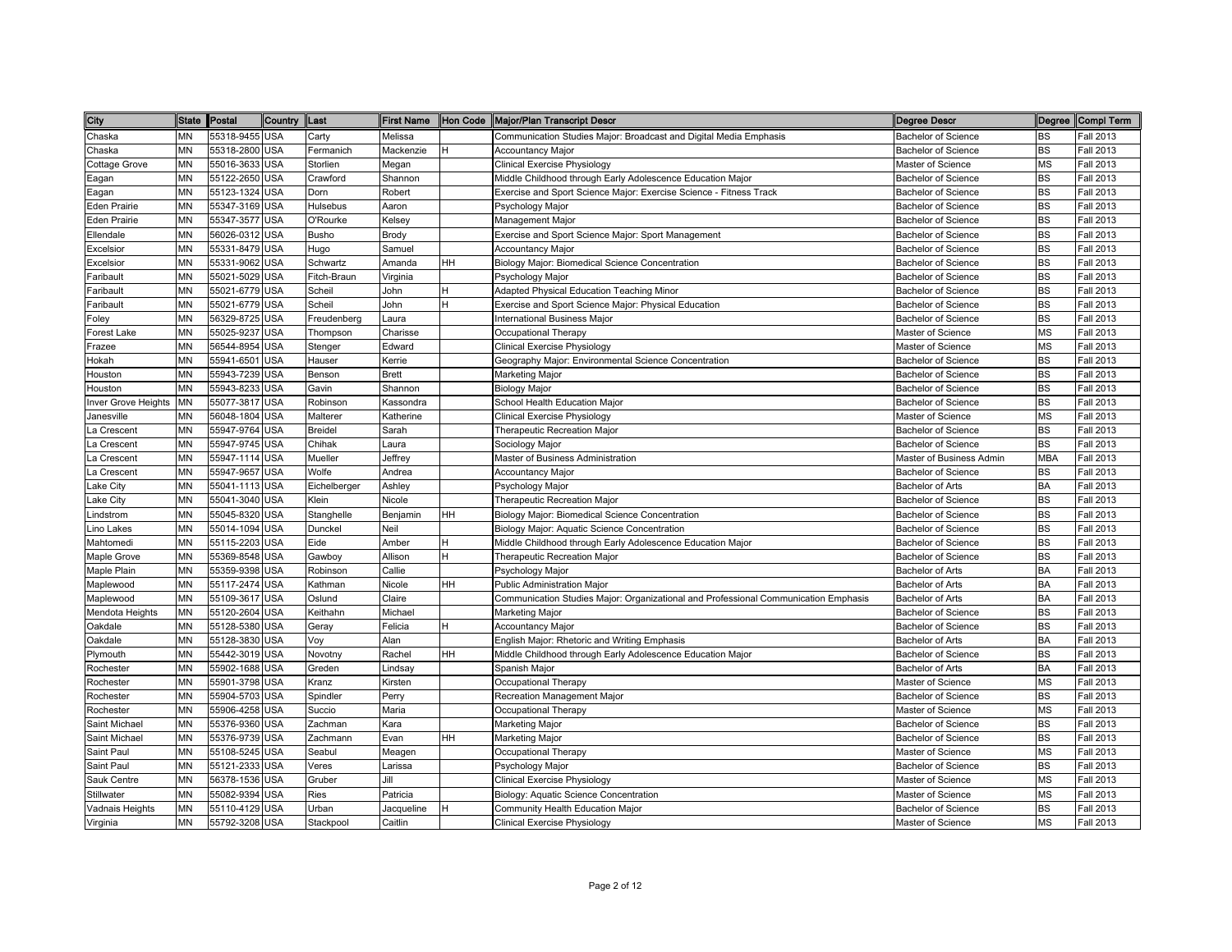| City                  |    | State Postal   | Country    | <b>Last</b>    |              |              | First Name Hon Code Major/Plan Transcript Descr                                     | <b>Degree Descr</b>        |            | Degree Compl Term |
|-----------------------|----|----------------|------------|----------------|--------------|--------------|-------------------------------------------------------------------------------------|----------------------------|------------|-------------------|
| Chaska                | ΜN | 55318-9455 USA |            | Carty          | Melissa      |              | Communication Studies Major: Broadcast and Digital Media Emphasis                   | <b>Bachelor of Science</b> | <b>BS</b>  | <b>Fall 2013</b>  |
| Chaska                | ΜN | 55318-2800 USA |            | Fermanich      | Mackenzie    | н            | <b>Accountancy Major</b>                                                            | <b>Bachelor of Science</b> | <b>BS</b>  | Fall 2013         |
| Cottage Grove         | MN | 55016-3633 USA |            | Storlien       | Megan        |              | Clinical Exercise Physiology                                                        | Master of Science          | <b>MS</b>  | <b>Fall 2013</b>  |
| Eagan                 | ΜN | 55122-2650 USA |            | Crawford       | Shannon      |              | Middle Childhood through Early Adolescence Education Major                          | <b>Bachelor of Science</b> | <b>BS</b>  | Fall 2013         |
| Eagan                 | MN | 55123-1324 USA |            | Dorn           | Robert       |              | Exercise and Sport Science Major: Exercise Science - Fitness Track                  | <b>Bachelor of Science</b> | <b>BS</b>  | <b>Fall 2013</b>  |
| Eden Prairie          | MN | 55347-3169 USA |            | Hulsebus       | Aaron        |              | Psychology Major                                                                    | <b>Bachelor of Science</b> | <b>BS</b>  | Fall 2013         |
| Eden Prairie          | MN | 55347-3577 USA |            | O'Rourke       | Kelsey       |              | Management Major                                                                    | <b>Bachelor of Science</b> | <b>BS</b>  | <b>Fall 2013</b>  |
| Ellendale             | MN | 56026-0312 USA |            | <b>Busho</b>   | Brody        |              | Exercise and Sport Science Major: Sport Management                                  | <b>Bachelor of Science</b> | <b>BS</b>  | <b>Fall 2013</b>  |
| Excelsior             | MN | 55331-8479 USA |            | Hugo           | Samuel       |              | <b>Accountancy Major</b>                                                            | <b>Bachelor of Science</b> | <b>BS</b>  | <b>Fall 2013</b>  |
| Excelsior             | MN | 55331-9062 USA |            | Schwartz       | Amanda       | <b>HH</b>    | Biology Major: Biomedical Science Concentration                                     | <b>Bachelor of Science</b> | <b>BS</b>  | <b>Fall 2013</b>  |
| Faribault             | MN | 55021-5029 USA |            | Fitch-Braun    | Virginia     |              | Psychology Major                                                                    | <b>Bachelor of Science</b> | <b>BS</b>  | Fall 2013         |
| Faribault             | MN | 55021-6779 USA |            | Scheil         | John         | н            | Adapted Physical Education Teaching Minor                                           | <b>Bachelor of Science</b> | <b>BS</b>  | Fall 2013         |
| <sup>=</sup> aribault | ΜN | 55021-6779 USA |            | Scheil         | John         | н            | Exercise and Sport Science Major: Physical Education                                | <b>Bachelor of Science</b> | <b>BS</b>  | Fall 2013         |
| Foley                 | MN | 56329-8725 USA |            | Freudenberg    | Laura        |              | <b>International Business Major</b>                                                 | <b>Bachelor of Science</b> | <b>BS</b>  | <b>Fall 2013</b>  |
| Forest Lake           | ΜN | 55025-9237 USA |            | Thompson       | Charisse     |              | Occupational Therapy                                                                | Master of Science          | <b>MS</b>  | Fall 2013         |
| Frazee                | MN | 56544-8954 USA |            | Stenger        | Edward       |              | <b>Clinical Exercise Physiology</b>                                                 | Master of Science          | <b>MS</b>  | <b>Fall 2013</b>  |
| Hokah                 | MN | 55941-6501     | <b>USA</b> | Hauser         | Kerrie       |              | Geography Major: Environmental Science Concentration                                | <b>Bachelor of Science</b> | <b>BS</b>  | Fall 2013         |
| Houston               | MN | 55943-7239 USA |            | Benson         | <b>Brett</b> |              | Marketing Major                                                                     | <b>Bachelor of Science</b> | <b>BS</b>  | Fall 2013         |
| Houston               | MN | 55943-8233 USA |            | Gavin          | Shannon      |              | <b>Biology Major</b>                                                                | <b>Bachelor of Science</b> | <b>BS</b>  | <b>Fall 2013</b>  |
| Inver Grove Heights   | MΝ | 55077-3817 USA |            | Robinson       | Kassondra    |              | School Health Education Major                                                       | <b>Bachelor of Science</b> | <b>BS</b>  | <b>Fall 2013</b>  |
| Janesville            | MΝ | 56048-1804     | <b>USA</b> | Malterer       | Katherine    |              | <b>Clinical Exercise Physiology</b>                                                 | Master of Science          | <b>MS</b>  | <b>Fall 2013</b>  |
| La Crescent           | ΜN | 55947-9764 USA |            | <b>Breidel</b> | Sarah        |              | Therapeutic Recreation Major                                                        | <b>Bachelor of Science</b> | <b>BS</b>  | <b>Fall 2013</b>  |
| La Crescent           | MN | 55947-9745 USA |            | Chihak         | Laura        |              | Sociology Major                                                                     | <b>Bachelor of Science</b> | <b>BS</b>  | <b>Fall 2013</b>  |
| La Crescent           | ΜN | 55947-1114 USA |            | Mueller        | Jeffrey      |              | Master of Business Administration                                                   | Master of Business Admin   | <b>MBA</b> | Fall 2013         |
| a Crescent            | ΜN | 55947-9657 USA |            | Wolfe          | Andrea       |              | Accountancy Major                                                                   | <b>Bachelor of Science</b> | <b>BS</b>  | <b>Fall 2013</b>  |
| _ake City             | ΜN | 55041-1113 USA |            | Eichelberger   | Ashley       |              | Psychology Major                                                                    | Bachelor of Arts           | <b>BA</b>  | <b>Fall 2013</b>  |
| _ake City             | MΝ | 55041-3040 USA |            | Klein          | Nicole       |              | Therapeutic Recreation Major                                                        | <b>Bachelor of Science</b> | <b>BS</b>  | <b>Fall 2013</b>  |
| _indstrom             | MN | 55045-8320 USA |            | Stanghelle     | Benjamin     | HH           | Biology Major: Biomedical Science Concentration                                     | <b>Bachelor of Science</b> | <b>BS</b>  | <b>Fall 2013</b>  |
| ino Lakes             | ΜN | 55014-1094 USA |            | Dunckel        | Neil         |              | Biology Major: Aquatic Science Concentration                                        | <b>Bachelor of Science</b> | <b>BS</b>  | <b>Fall 2013</b>  |
| Mahtomedi             | MN | 55115-2203 USA |            | Eide           | Amber        |              | Middle Childhood through Early Adolescence Education Major                          | <b>Bachelor of Science</b> | <b>BS</b>  | Fall 2013         |
| Maple Grove           | MN | 55369-8548 USA |            | Gawboy         | Allison      | $\mathsf{H}$ | <b>Therapeutic Recreation Major</b>                                                 | <b>Bachelor of Science</b> | <b>BS</b>  | <b>Fall 2013</b>  |
| Maple Plain           | MN | 55359-9398 USA |            | Robinson       | Callie       |              | Psychology Major                                                                    | <b>Bachelor of Arts</b>    | <b>BA</b>  | <b>Fall 2013</b>  |
| Maplewood             | MΝ | 55117-2474 USA |            | Kathman        | Nicole       | HH           | <b>Public Administration Major</b>                                                  | <b>Bachelor of Arts</b>    | <b>BA</b>  | <b>Fall 2013</b>  |
| Maplewood             | MN | 55109-3617 USA |            | Oslund         | Claire       |              | Communication Studies Major: Organizational and Professional Communication Emphasis | Bachelor of Arts           | <b>BA</b>  | <b>Fall 2013</b>  |
| Mendota Heights       | ΜN | 55120-2604 USA |            | Keithahn       | Michael      |              | Marketing Major                                                                     | <b>Bachelor of Science</b> | <b>BS</b>  | <b>Fall 2013</b>  |
| Oakdale               | MN | 55128-5380 USA |            | Geray          | Felicia      | н            | Accountancy Major                                                                   | <b>Bachelor of Science</b> | <b>BS</b>  | Fall 2013         |
| Oakdale               | ΜN | 55128-3830 USA |            | Voy            | Alan         |              | English Major: Rhetoric and Writing Emphasis                                        | Bachelor of Arts           | <b>BA</b>  | <b>Fall 2013</b>  |
| Plymouth              | ΜN | 55442-3019 USA |            | Novotny        | Rachel       | <b>HH</b>    | Middle Childhood through Early Adolescence Education Major                          | <b>Bachelor of Science</b> | <b>BS</b>  | <b>Fall 2013</b>  |
| Rochester             | MΝ | 55902-1688 USA |            | Greden         | Lindsay      |              | Spanish Major                                                                       | <b>Bachelor of Arts</b>    | <b>BA</b>  | <b>Fall 2013</b>  |
| Rochester             | MN | 55901-3798 USA |            | Kranz          | Kirsten      |              | Occupational Therapy                                                                | Master of Science          | <b>MS</b>  | <b>Fall 2013</b>  |
| Rochester             | ΜN | 55904-5703 USA |            | Spindler       | Perry        |              | Recreation Management Major                                                         | <b>Bachelor of Science</b> | <b>BS</b>  | Fall 2013         |
| Rochester             | MN | 55906-4258 USA |            | Succio         | Maria        |              | Occupational Therapy                                                                | Master of Science          | <b>MS</b>  | <b>Fall 2013</b>  |
| Saint Michael         | MN | 55376-9360 USA |            | Zachman        | Kara         |              | Marketing Major                                                                     | Bachelor of Science        | <b>BS</b>  | <b>Fall 2013</b>  |
| Saint Michael         | MN | 55376-9739 USA |            | Zachmann       | Evan         | <b>HH</b>    | <b>Marketing Major</b>                                                              | <b>Bachelor of Science</b> | <b>BS</b>  | <b>Fall 2013</b>  |
| Saint Paul            | MN | 55108-5245 USA |            | Seabul         | Meagen       |              | Occupational Therapy                                                                | Master of Science          | <b>MS</b>  | <b>Fall 2013</b>  |
| Saint Paul            | MΝ | 55121-2333 USA |            | Veres          | Larissa      |              | Psychology Major                                                                    | Bachelor of Science        | <b>BS</b>  | <b>Fall 2013</b>  |
| Sauk Centre           | ΜN | 56378-1536 USA |            | Gruber         | Jill         |              | <b>Clinical Exercise Physiology</b>                                                 | Master of Science          | <b>MS</b>  | <b>Fall 2013</b>  |
| Stillwater            | ΜN | 55082-9394 USA |            | Ries           | Patricia     |              | Biology: Aquatic Science Concentration                                              | Master of Science          | <b>MS</b>  | <b>Fall 2013</b>  |
| Vadnais Heights       | MΝ | 55110-4129 USA |            | Urban          | Jacqueline   | н            | Community Health Education Major                                                    | <b>Bachelor of Science</b> | <b>BS</b>  | <b>Fall 2013</b>  |
| Virginia              | MN | 55792-3208 USA |            | Stackpool      | Caitlin      |              | Clinical Exercise Physiology                                                        | Master of Science          | <b>MS</b>  | <b>Fall 2013</b>  |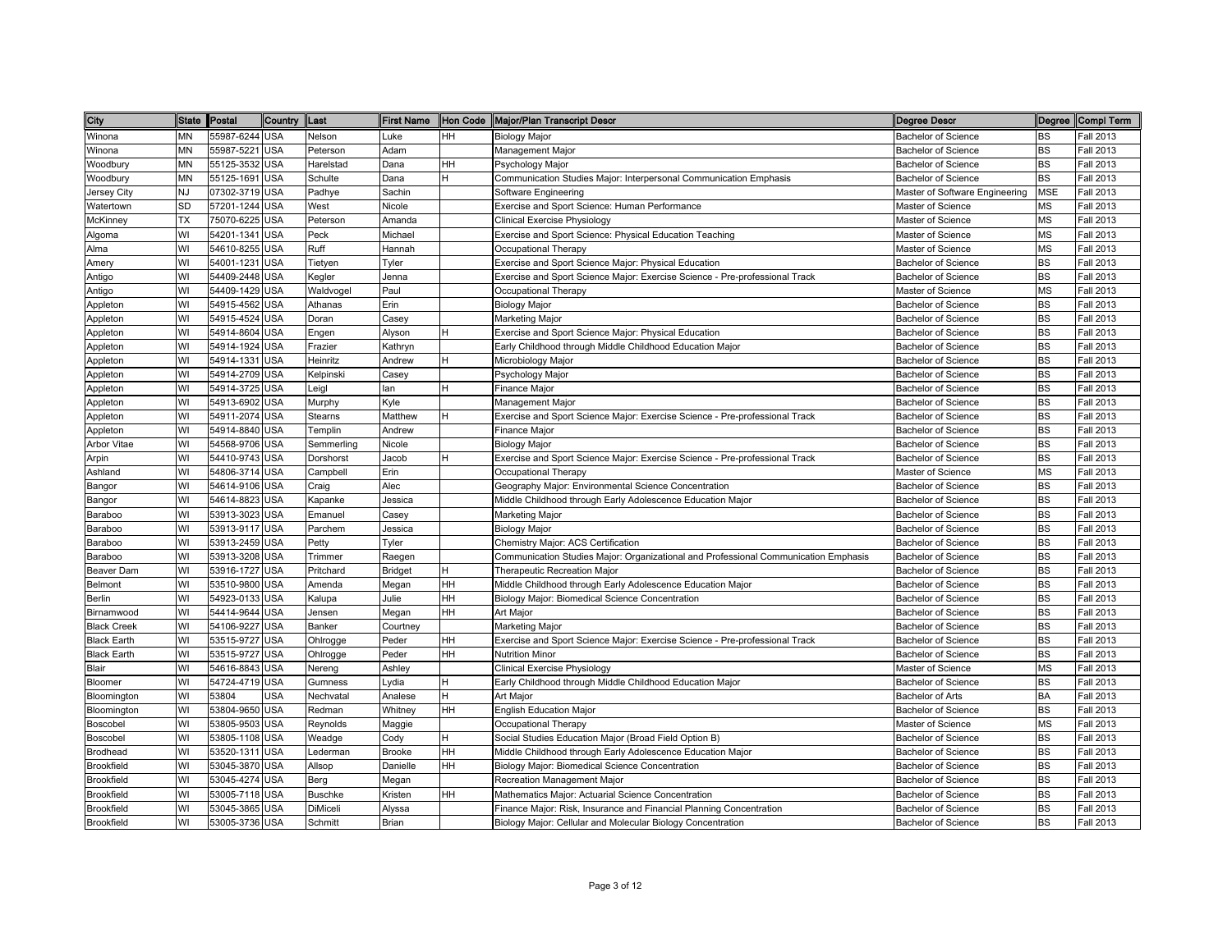| City               | State Postal |                | Country    | <b>Last</b>     |                |              | First Name Hon Code Major/Plan Transcript Descr                                     | <b>Degree Descr</b>            |            | Degree Compl Term |
|--------------------|--------------|----------------|------------|-----------------|----------------|--------------|-------------------------------------------------------------------------------------|--------------------------------|------------|-------------------|
| Winona             | ΜN           | 55987-6244 USA |            | Nelson          | Luke           | HH           | <b>Biology Major</b>                                                                | <b>Bachelor of Science</b>     | <b>BS</b>  | <b>Fall 2013</b>  |
| Winona             | ΜN           | 55987-5221 USA |            | Peterson        | Adam           |              | Management Major                                                                    | Bachelor of Science            | <b>BS</b>  | Fall 2013         |
| Woodbury           | MN           | 55125-3532 USA |            | Harelstad       | Dana           | HH           | Psychology Major                                                                    | <b>Bachelor of Science</b>     | <b>BS</b>  | <b>Fall 2013</b>  |
| Woodbury           | ΜN           | 55125-1691     | <b>USA</b> | Schulte         | Dana           | н            | Communication Studies Major: Interpersonal Communication Emphasis                   | Bachelor of Science            | <b>BS</b>  | Fall 2013         |
| Jersey City        | NJ           | 07302-3719 USA |            | Padhye          | Sachin         |              | Software Engineering                                                                | Master of Software Engineering | <b>MSE</b> | Fall 2013         |
| Watertown          | SD           | 57201-1244 USA |            | West            | Nicole         |              | Exercise and Sport Science: Human Performance                                       | Master of Science              | <b>MS</b>  | Fall 2013         |
| McKinney           | ТX           | 75070-6225     | <b>USA</b> | Peterson        | Amanda         |              | Clinical Exercise Physiology                                                        | Master of Science              | <b>MS</b>  | Fall 2013         |
| Algoma             | WI           | 54201-1341     | <b>USA</b> | Peck            | Michael        |              | Exercise and Sport Science: Physical Education Teaching                             | Master of Science              | <b>MS</b>  | <b>Fall 2013</b>  |
| Alma               | WI           | 54610-8255 USA |            | Ruff            | Hannah         |              | Occupational Therapy                                                                | Master of Science              | <b>MS</b>  | <b>Fall 2013</b>  |
| Amery              | WI           | 54001-1231     | <b>USA</b> | Tietyen         | Tyler          |              | Exercise and Sport Science Major: Physical Education                                | <b>Bachelor of Science</b>     | <b>BS</b>  | <b>Fall 2013</b>  |
| Antigo             | WI           | 54409-2448 USA |            | Kegler          | Jenna          |              | Exercise and Sport Science Major: Exercise Science - Pre-professional Track         | <b>Bachelor of Science</b>     | <b>BS</b>  | Fall 2013         |
| Antigo             | WI           | 54409-1429 USA |            | Waldvogel       | Paul           |              | Occupational Therapy                                                                | Master of Science              | <b>MS</b>  | Fall 2013         |
| Appleton           | WI           | 54915-4562 USA |            | Athanas         | Erin           |              | <b>Biology Major</b>                                                                | <b>Bachelor of Science</b>     | <b>BS</b>  | Fall 2013         |
| Appleton           | WI           | 54915-4524 USA |            | Doran           | Casey          |              | Marketing Major                                                                     | <b>Bachelor of Science</b>     | <b>BS</b>  | <b>Fall 2013</b>  |
| Appleton           | WI           | 54914-8604 USA |            | Engen           | Alyson         | H            | Exercise and Sport Science Major: Physical Education                                | <b>Bachelor of Science</b>     | <b>BS</b>  | Fall 2013         |
| Appleton           | WI           | 54914-1924 USA |            | Frazier         | Kathryn        |              | Early Childhood through Middle Childhood Education Major                            | <b>Bachelor of Science</b>     | <b>BS</b>  | <b>Fall 2013</b>  |
| Appleton           | WI           | 54914-1331     | <b>USA</b> | Heinritz        | Andrew         | н            | Microbiology Major                                                                  | <b>Bachelor of Science</b>     | <b>BS</b>  | Fall 2013         |
| Appleton           | WI           | 54914-2709 USA |            | Kelpinski       | Casey          |              | Psychology Major                                                                    | <b>Bachelor of Science</b>     | <b>BS</b>  | Fall 2013         |
| Appleton           | WI           | 54914-3725 USA |            | Leigl           | lan            | H            | <b>Finance Major</b>                                                                | <b>Bachelor of Science</b>     | <b>BS</b>  | <b>Fall 2013</b>  |
| Appleton           | WI           | 54913-6902 USA |            | Murphy          | Kyle           |              | Management Major                                                                    | <b>Bachelor of Science</b>     | <b>BS</b>  | <b>Fall 2013</b>  |
| Appleton           | WI           | 54911-2074 USA |            | Stearns         | Matthew        | H            | Exercise and Sport Science Major: Exercise Science - Pre-professional Track         | Bachelor of Science            | <b>BS</b>  | Fall 2013         |
| Appleton           | WI           | 54914-8840 USA |            | Templin         | Andrew         |              | Finance Major                                                                       | <b>Bachelor of Science</b>     | <b>BS</b>  | <b>Fall 2013</b>  |
| Arbor Vitae        | WI           | 54568-9706 USA |            | Semmerling      | Nicole         |              | <b>Biology Major</b>                                                                | <b>Bachelor of Science</b>     | <b>BS</b>  | Fall 2013         |
| Arpin              | WI           | 54410-9743 USA |            | Dorshorst       | Jacob          | н            | Exercise and Sport Science Major: Exercise Science - Pre-professional Track         | Bachelor of Science            | <b>BS</b>  | Fall 2013         |
| Ashland            | WI           | 54806-3714 USA |            | Campbell        | Erin           |              | Occupational Therapy                                                                | Master of Science              | <b>MS</b>  | <b>Fall 2013</b>  |
| Bangor             | WI           | 54614-9106 USA |            | Craig           | Alec           |              | Geography Major: Environmental Science Concentration                                | <b>Bachelor of Science</b>     | <b>BS</b>  | <b>Fall 2013</b>  |
| Bangor             | WI           | 54614-8823 USA |            | Kapanke         | Jessica        |              | Middle Childhood through Early Adolescence Education Major                          | <b>Bachelor of Science</b>     | <b>BS</b>  | <b>Fall 2013</b>  |
| Baraboo            | WI           | 53913-3023 USA |            | Emanuel         | Casey          |              | <b>Marketing Major</b>                                                              | <b>Bachelor of Science</b>     | <b>BS</b>  | <b>Fall 2013</b>  |
| Baraboo            | WI           | 53913-9117 USA |            | Parchem         | Jessica        |              | <b>Biology Major</b>                                                                | <b>Bachelor of Science</b>     | <b>BS</b>  | Fall 2013         |
| Baraboo            | WI           | 53913-2459 USA |            | Petty           | Tyler          |              | Chemistry Major: ACS Certification                                                  | <b>Bachelor of Science</b>     | <b>BS</b>  | Fall 2013         |
| Baraboo            | WI           | 53913-3208 USA |            | Trimmer         | Raegen         |              | Communication Studies Major: Organizational and Professional Communication Emphasis | <b>Bachelor of Science</b>     | <b>BS</b>  | <b>Fall 2013</b>  |
| Beaver Dam         | WI           | 53916-1727 USA |            | Pritchard       | <b>Bridget</b> | н            | Therapeutic Recreation Major                                                        | <b>Bachelor of Science</b>     | <b>BS</b>  | <b>Fall 2013</b>  |
| Belmont            | WI           | 53510-9800 USA |            | Amenda          | Megan          | <b>HH</b>    | Middle Childhood through Early Adolescence Education Major                          | <b>Bachelor of Science</b>     | <b>BS</b>  | <b>Fall 2013</b>  |
| Berlin             | WI           | 54923-0133 USA |            | Kalupa          | Julie          | <b>HH</b>    | Biology Major: Biomedical Science Concentration                                     | <b>Bachelor of Science</b>     | <b>BS</b>  | <b>Fall 2013</b>  |
| Birnamwood         | WI           | 54414-9644 USA |            | Jensen          | Megan          | <b>HH</b>    | Art Major                                                                           | <b>Bachelor of Science</b>     | <b>BS</b>  | <b>Fall 2013</b>  |
| <b>Black Creek</b> | WI           | 54106-9227 USA |            | Banker          | Courtney       |              | Marketing Major                                                                     | <b>Bachelor of Science</b>     | <b>BS</b>  | Fall 2013         |
| <b>Black Earth</b> | WI           | 53515-9727 USA |            | Ohlrogge        | Peder          | HH           | Exercise and Sport Science Major: Exercise Science - Pre-professional Track         | Bachelor of Science            | <b>BS</b>  | <b>Fall 2013</b>  |
| <b>Black Earth</b> | WI           | 53515-9727 USA |            | Ohlrogge        | Peder          | <b>HH</b>    | <b>Nutrition Minor</b>                                                              | <b>Bachelor of Science</b>     | <b>BS</b>  | <b>Fall 2013</b>  |
| Blair              | WI           | 54616-8843 USA |            | Nereng          | Ashley         |              | Clinical Exercise Physiology                                                        | Master of Science              | <b>MS</b>  | <b>Fall 2013</b>  |
| Bloomer            | WI           | 54724-4719 USA |            | Gumness         | _ydia          | н            | Early Childhood through Middle Childhood Education Major                            | Bachelor of Science            | <b>BS</b>  | <b>Fall 2013</b>  |
| Bloomington        | WI           | 53804          | USA        | Nechvatal       | Analese        | н            | Art Major                                                                           | Bachelor of Arts               | <b>BA</b>  | Fall 2013         |
| Bloomington        | WI           | 53804-9650 USA |            | Redman          | Whitney        | HH           | <b>English Education Major</b>                                                      | <b>Bachelor of Science</b>     | <b>BS</b>  | <b>Fall 2013</b>  |
| Boscobel           | WI           | 53805-9503 USA |            | Reynolds        | Maggie         |              | Occupational Therapy                                                                | Master of Science              | <b>MS</b>  | Fall 2013         |
| Boscobel           | WI           | 53805-1108 USA |            | Weadge          | Cody           | $\mathsf{H}$ | Social Studies Education Major (Broad Field Option B)                               | <b>Bachelor of Science</b>     | <b>BS</b>  | <b>Fall 2013</b>  |
| <b>Brodhead</b>    | WI           | 53520-1311 USA |            | Lederman        | <b>Brooke</b>  | HH           | Middle Childhood through Early Adolescence Education Major                          | <b>Bachelor of Science</b>     | <b>BS</b>  | <b>Fall 2013</b>  |
| Brookfield         | WI           | 53045-3870 USA |            | Allsop          | Danielle       | HH           | Biology Major: Biomedical Science Concentration                                     | Bachelor of Science            | <b>BS</b>  | <b>Fall 2013</b>  |
| Brookfield         | WI           | 53045-4274 USA |            | Berg            | Megan          |              | Recreation Management Major                                                         | <b>Bachelor of Science</b>     | <b>BS</b>  | <b>Fall 2013</b>  |
| Brookfield         | WI           | 53005-7118 USA |            | <b>Buschke</b>  | Kristen        | HH           | Mathematics Major: Actuarial Science Concentration                                  | Bachelor of Science            | <b>BS</b>  | Fall 2013         |
| Brookfield         | WI           | 53045-3865 USA |            | <b>DiMiceli</b> | Alyssa         |              | Finance Major: Risk, Insurance and Financial Planning Concentration                 | Bachelor of Science            | <b>BS</b>  | Fall 2013         |
| <b>Brookfield</b>  | WI           | 53005-3736 USA |            | Schmitt         | Brian          |              | Biology Major: Cellular and Molecular Biology Concentration                         | <b>Bachelor of Science</b>     | <b>BS</b>  | <b>Fall 2013</b>  |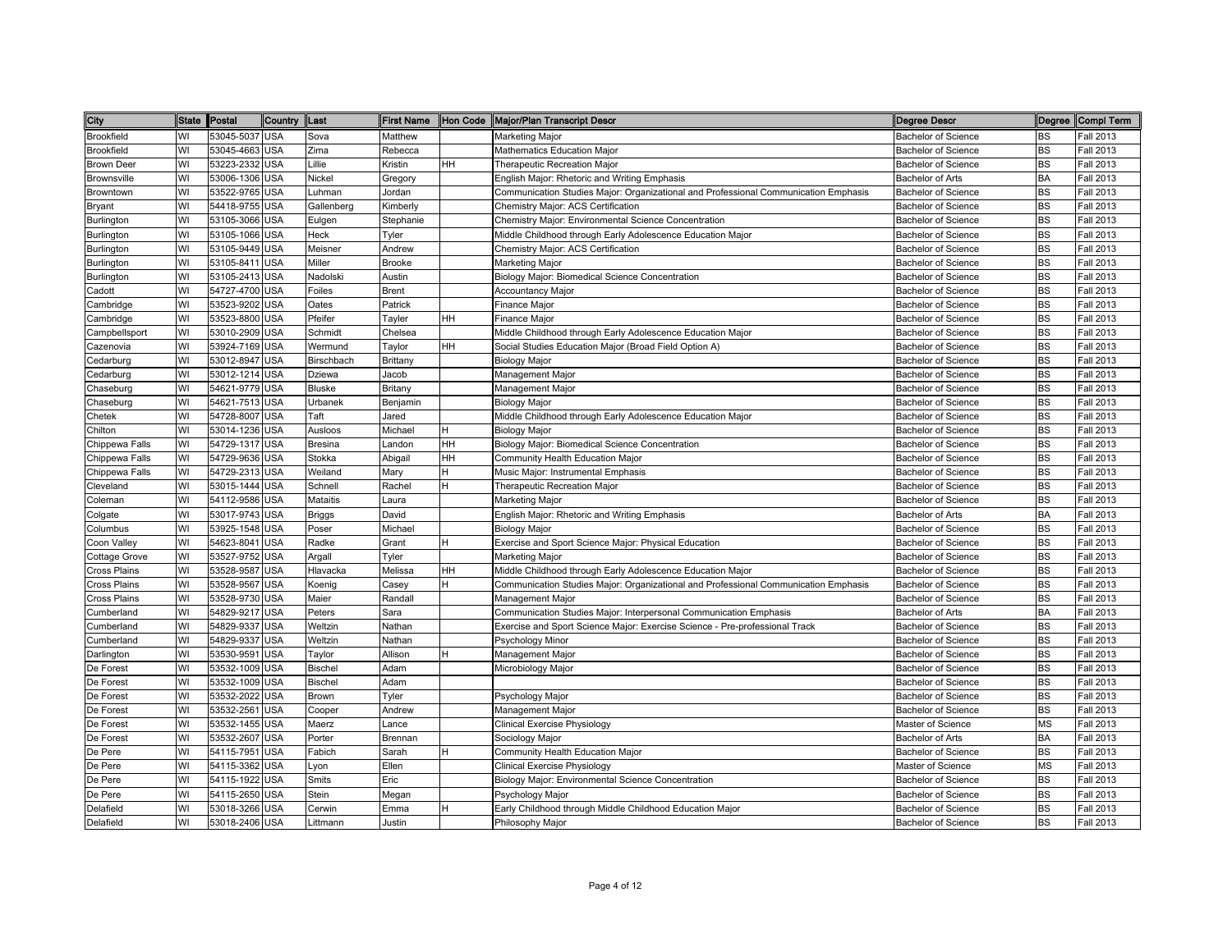| City                |    | State Postal   | Country    | Last           |               |    | First Name Hon Code Major/Plan Transcript Descr                                     | Degree Descr               |           | Degree Compl Term |
|---------------------|----|----------------|------------|----------------|---------------|----|-------------------------------------------------------------------------------------|----------------------------|-----------|-------------------|
| Brookfield          | WI | 53045-5037 USA |            | Sova           | Matthew       |    | Marketing Major                                                                     | <b>Bachelor of Science</b> | BS        | Fall 2013         |
| Brookfield          | WI | 53045-4663 USA |            | Zima           | Rebecca       |    | Mathematics Education Major                                                         | Bachelor of Science        | <b>BS</b> | Fall 2013         |
| <b>Brown Deer</b>   | WI | 53223-2332     | <b>USA</b> | Lillie         | Kristin       | HH | Therapeutic Recreation Major                                                        | <b>Bachelor of Science</b> | <b>BS</b> | Fall 2013         |
| <b>Brownsville</b>  | WI | 53006-1306     | <b>USA</b> | Nickel         | Gregory       |    | English Major: Rhetoric and Writing Emphasis                                        | <b>Bachelor of Arts</b>    | BA        | Fall 2013         |
| Browntown           | WI | 53522-9765     | <b>USA</b> | Luhman         | Jordan        |    | Communication Studies Major: Organizational and Professional Communication Emphasis | <b>Bachelor of Science</b> | <b>BS</b> | Fall 2013         |
| Bryant              | WI | 54418-9755     | <b>USA</b> | Gallenberg     | Kimberly      |    | Chemistry Major: ACS Certification                                                  | <b>Bachelor of Science</b> | <b>BS</b> | <b>Fall 2013</b>  |
| Burlington          | WI | 53105-3066     | <b>USA</b> | Eulgen         | Stephanie     |    | Chemistry Major: Environmental Science Concentration                                | <b>Bachelor of Science</b> | <b>BS</b> | <b>Fall 2013</b>  |
| Burlington          | WI | 53105-1066     | <b>USA</b> | Heck           | Tyler         |    | Middle Childhood through Early Adolescence Education Major                          | Bachelor of Science        | <b>BS</b> | <b>Fall 2013</b>  |
| Burlington          | WI | 53105-9449     | <b>USA</b> | Meisner        | Andrew        |    | Chemistry Major: ACS Certification                                                  | <b>Bachelor of Science</b> | <b>BS</b> | <b>Fall 2013</b>  |
| Burlington          | WI | 53105-8411     | <b>USA</b> | Miller         | <b>Brooke</b> |    | Marketing Major                                                                     | <b>Bachelor of Science</b> | <b>BS</b> | <b>Fall 2013</b>  |
| Burlington          | WI | 53105-2413     | <b>USA</b> | Nadolski       | Austin        |    | Biology Major: Biomedical Science Concentration                                     | Bachelor of Science        | <b>BS</b> | Fall 2013         |
| Cadott              | WI | 54727-4700     | <b>USA</b> | Foiles         | <b>Brent</b>  |    | <b>Accountancy Major</b>                                                            | <b>Bachelor of Science</b> | <b>BS</b> | <b>Fall 2013</b>  |
| Cambridge           | WI | 53523-9202 USA |            | Oates          | Patrick       |    | Finance Major                                                                       | <b>Bachelor of Science</b> | <b>BS</b> | <b>Fall 2013</b>  |
| Cambridge           | WI | 53523-8800     | <b>USA</b> | Pfeifer        | Tayler        | HН | Finance Major                                                                       | Bachelor of Science        | <b>BS</b> | Fall 2013         |
| Campbellsport       | WI | 53010-2909     | <b>USA</b> | Schmidt        | Chelsea       |    | Middle Childhood through Early Adolescence Education Major                          | <b>Bachelor of Science</b> | <b>BS</b> | Fall 2013         |
| Cazenovia           | WI | 53924-7169     | <b>USA</b> | Wermund        | Taylor        | HH | Social Studies Education Major (Broad Field Option A)                               | <b>Bachelor of Science</b> | <b>BS</b> | Fall 2013         |
| Cedarburg           | WI | 53012-8947     | <b>USA</b> | Birschbach     | Brittany      |    | <b>Biology Major</b>                                                                | <b>Bachelor of Science</b> | <b>BS</b> | Fall 2013         |
| Cedarburg           | WI | 53012-1214     | <b>USA</b> | Dziewa         | Jacob         |    | Management Major                                                                    | Bachelor of Science        | <b>BS</b> | Fall 2013         |
| Chaseburg           | WI | 54621-9779 USA |            | <b>Bluske</b>  | Britany       |    | Management Major                                                                    | <b>Bachelor of Science</b> | <b>BS</b> | <b>Fall 2013</b>  |
| Chaseburg           | WI | 54621-7513     | <b>USA</b> | Urbanek        | Benjamin      |    | <b>Biology Major</b>                                                                | Bachelor of Science        | <b>BS</b> | Fall 2013         |
| Chetek              | WI | 54728-8007     | <b>USA</b> | Taft           | Jared         |    | Middle Childhood through Early Adolescence Education Major                          | Bachelor of Science        | <b>BS</b> | <b>Fall 2013</b>  |
| Chilton             | WI | 53014-1236     | <b>USA</b> | Ausloos        | Michael       |    | Biology Major                                                                       | <b>Bachelor of Science</b> | <b>BS</b> | <b>Fall 2013</b>  |
| Chippewa Falls      | WI | 54729-1317     | <b>USA</b> | <b>Bresina</b> | Landon        | HH | Biology Major: Biomedical Science Concentration                                     | <b>Bachelor of Science</b> | <b>BS</b> | <b>Fall 2013</b>  |
| Chippewa Falls      | WI | 54729-9636     | <b>USA</b> | Stokka         | Abigail       | HН | Community Health Education Major                                                    | Bachelor of Science        | <b>BS</b> | Fall 2013         |
| Chippewa Falls      | WI | 54729-2313 USA |            | Weiland        | Mary          | н  | Music Major: Instrumental Emphasis                                                  | <b>Bachelor of Science</b> | <b>BS</b> | <b>Fall 2013</b>  |
| Cleveland           | WI | 53015-1444     | <b>USA</b> | Schnell        | Rachel        | н  | Therapeutic Recreation Major                                                        | <b>Bachelor of Science</b> | BS        | Fall 2013         |
| Coleman             | WI | 54112-9586     | <b>USA</b> | Mataitis       | Laura         |    | Marketing Major                                                                     | Bachelor of Science        | <b>BS</b> | Fall 2013         |
| Colgate             | WI | 53017-9743     | <b>USA</b> | <b>Briggs</b>  | David         |    | English Major: Rhetoric and Writing Emphasis                                        | <b>Bachelor of Arts</b>    | <b>BA</b> | Fall 2013         |
| Columbus            | WI | 53925-1548     | <b>USA</b> | Poser          | Michael       |    | <b>Biology Major</b>                                                                | <b>Bachelor of Science</b> | <b>BS</b> | Fall 2013         |
| Coon Valley         | WI | 54623-8041     | <b>USA</b> | Radke          | Grant         | H  | Exercise and Sport Science Major: Physical Education                                | <b>Bachelor of Science</b> | <b>BS</b> | Fall 2013         |
| Cottage Grove       | WI | 53527-9752     | <b>USA</b> | Argall         | Tyler         |    | <b>Marketing Major</b>                                                              | <b>Bachelor of Science</b> | <b>BS</b> | <b>Fall 2013</b>  |
| <b>Cross Plains</b> | WI | 53528-9587     | <b>USA</b> | Hlavacka       | Melissa       | HH | Middle Childhood through Early Adolescence Education Major                          | <b>Bachelor of Science</b> | <b>BS</b> | <b>Fall 2013</b>  |
| <b>Cross Plains</b> | WI | 53528-9567     | <b>USA</b> | Koenig         | Casey         | H  | Communication Studies Major: Organizational and Professional Communication Emphasis | Bachelor of Science        | <b>BS</b> | Fall 2013         |
| <b>Cross Plains</b> | WI | 53528-9730     | <b>USA</b> | Maier          | Randall       |    | Management Major                                                                    | <b>Bachelor of Science</b> | <b>BS</b> | <b>Fall 2013</b>  |
| Cumberland          | WI | 54829-9217     | <b>USA</b> | Peters         | Sara          |    | Communication Studies Major: Interpersonal Communication Emphasis                   | <b>Bachelor of Arts</b>    | BA        | <b>Fall 2013</b>  |
| Cumberland          | WI | 54829-9337     | <b>USA</b> | Weltzin        | Nathan        |    | Exercise and Sport Science Major: Exercise Science - Pre-professional Track         | Bachelor of Science        | <b>BS</b> | <b>Fall 2013</b>  |
| Cumberland          | WI | 54829-9337     | <b>USA</b> | Weltzin        | Nathan        |    | Psychology Minor                                                                    | <b>Bachelor of Science</b> | <b>BS</b> | <b>Fall 2013</b>  |
| Darlington          | WI | 53530-9591     | <b>USA</b> | Taylor         | Allison       |    | Management Major                                                                    | <b>Bachelor of Science</b> | <b>BS</b> | <b>Fall 2013</b>  |
| De Forest           | WI | 53532-1009     | <b>USA</b> | Bischel        | Adam          |    | Microbiology Major                                                                  | Bachelor of Science        | <b>BS</b> | Fall 2013         |
| De Forest           | WI | 53532-1009     | <b>USA</b> | <b>Bischel</b> | Adam          |    |                                                                                     | <b>Bachelor of Science</b> | <b>BS</b> | Fall 2013         |
| De Forest           | WI | 53532-2022     | <b>USA</b> | Brown          | Tyler         |    | Psychology Major                                                                    | <b>Bachelor of Science</b> | <b>BS</b> | Fall 2013         |
| De Forest           | WI | 53532-2561     | <b>USA</b> | Cooper         | Andrew        |    | Management Major                                                                    | <b>Bachelor of Science</b> | <b>BS</b> | <b>Fall 2013</b>  |
| De Forest           | WI | 53532-1455     | <b>USA</b> | Maerz          | ance          |    | Clinical Exercise Physiology                                                        | Master of Science          | <b>MS</b> | Fall 2013         |
| De Forest           | WI | 53532-2607     | <b>USA</b> | Porter         | Brennan       |    | Sociology Major                                                                     | Bachelor of Arts           | BA        | <b>Fall 2013</b>  |
| De Pere             | WI | 54115-7951     | <b>USA</b> | Fabich         | Sarah         | H  | Community Health Education Major                                                    | Bachelor of Science        | <b>BS</b> | <b>Fall 2013</b>  |
| De Pere             | WI | 54115-3362     | <b>USA</b> | Lyon           | Ellen         |    | <b>Clinical Exercise Physiology</b>                                                 | Master of Science          | <b>MS</b> | <b>Fall 2013</b>  |
| De Pere             | WI | 54115-1922     | <b>USA</b> | Smits          | Eric          |    | Biology Major: Environmental Science Concentration                                  | <b>Bachelor of Science</b> | <b>BS</b> | <b>Fall 2013</b>  |
| De Pere             | WI | 54115-2650     | <b>USA</b> | Stein          | Megan         |    | Psychology Major                                                                    | Bachelor of Science        | <b>BS</b> | Fall 2013         |
| Delafield           | WI | 53018-3266     | <b>USA</b> | Cerwin         | Emma          | н  | Early Childhood through Middle Childhood Education Major                            | Bachelor of Science        | <b>BS</b> | Fall 2013         |
| Delafield           | WI | 53018-2406 USA |            | Littmann       | Justin        |    | Philosophy Major                                                                    | <b>Bachelor of Science</b> | <b>BS</b> | <b>Fall 2013</b>  |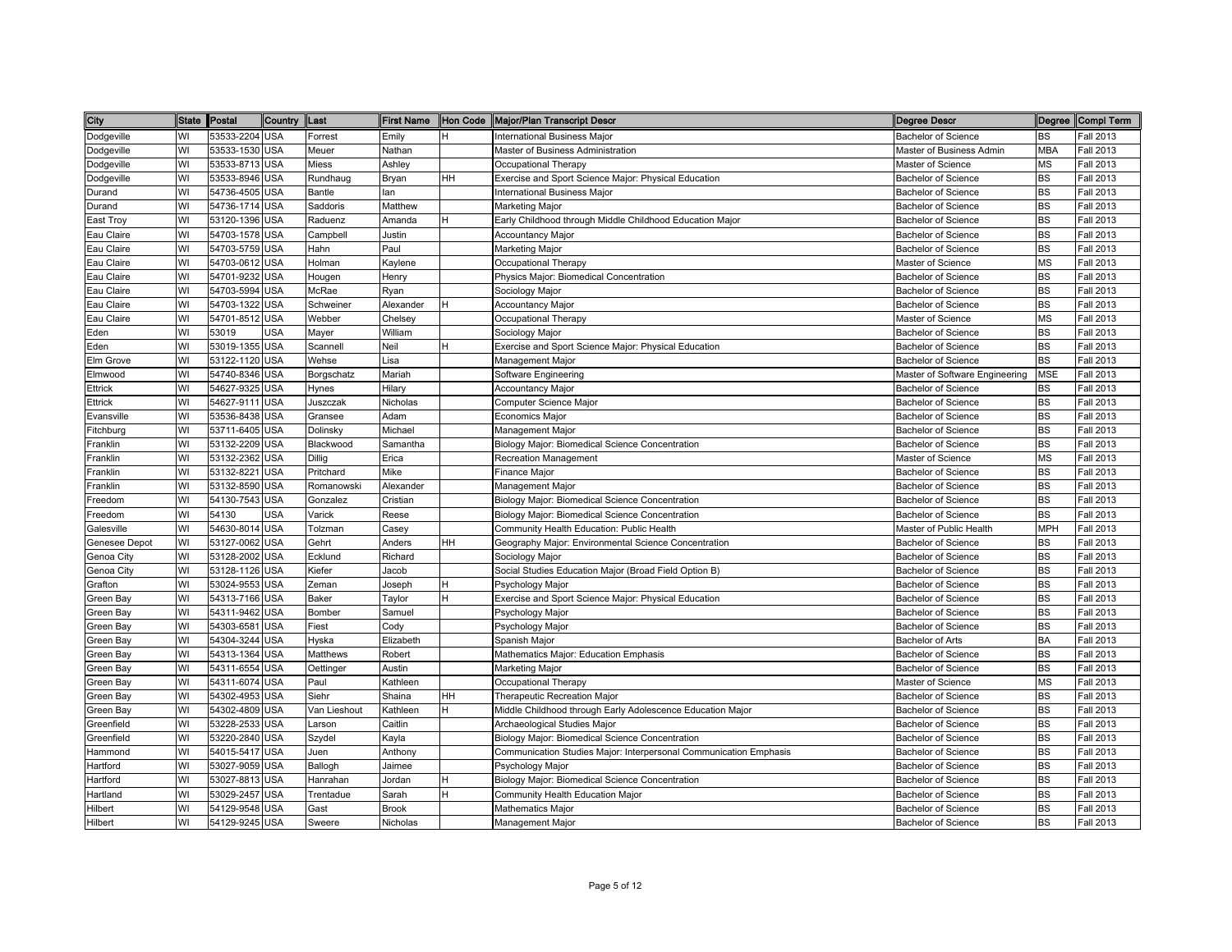| City          |    | State Postal   | Country Last |              |              |    | First Name Hon Code Major/Plan Transcript Descr<br><b>Degree Descr</b>                   |            | Degree Compl Term |
|---------------|----|----------------|--------------|--------------|--------------|----|------------------------------------------------------------------------------------------|------------|-------------------|
| Dodgeville    | WI | 53533-2204 USA |              | Forrest      | Emily        |    | <b>International Business Major</b><br><b>Bachelor of Science</b>                        | BS         | <b>Fall 2013</b>  |
| Dodgeville    | WI | 53533-1530 USA |              | Meuer        | Nathan       |    | Master of Business Administration<br>Master of Business Admin                            | <b>MBA</b> | Fall 2013         |
| Dodgeville    | WI | 53533-8713 USA |              | Miess        | Ashley       |    | Occupational Therapy<br>Master of Science                                                | <b>MS</b>  | <b>Fall 2013</b>  |
| Dodgeville    | WI | 53533-8946 USA |              | Rundhaug     | Bryan        | HΗ | Exercise and Sport Science Major: Physical Education<br><b>Bachelor of Science</b>       | <b>BS</b>  | <b>Fall 2013</b>  |
| Durand        | WI | 54736-4505     | <b>USA</b>   | Bantle       | lan          |    | <b>International Business Major</b><br><b>Bachelor of Science</b>                        | BS         | <b>Fall 2013</b>  |
| Durand        | WI | 54736-1714     | <b>USA</b>   | Saddoris     | Matthew      |    | <b>Bachelor of Science</b><br>Marketing Major                                            | <b>BS</b>  | Fall 2013         |
| East Troy     | WI | 53120-1396     | <b>USA</b>   | Raduenz      | Amanda       |    | Early Childhood through Middle Childhood Education Major<br><b>Bachelor of Science</b>   | BS         | <b>Fall 2013</b>  |
| Eau Claire    | WI | 54703-1578 USA |              | Campbell     | Justin       |    | <b>Accountancy Major</b><br><b>Bachelor of Science</b>                                   | BS         | Fall 2013         |
| Eau Claire    | WI | 54703-5759 USA |              | Hahn         | Paul         |    | Marketing Major<br><b>Bachelor of Science</b>                                            | BS         | <b>Fall 2013</b>  |
| Eau Claire    | WI | 54703-0612 USA |              | Holman       | Kaylene      |    | Occupational Therapy<br>Master of Science                                                | <b>MS</b>  | <b>Fall 2013</b>  |
| Eau Claire    | WI | 54701-9232     | <b>USA</b>   | Hougen       | Henry        |    | Physics Major: Biomedical Concentration<br><b>Bachelor of Science</b>                    | <b>BS</b>  | <b>Fall 2013</b>  |
| Eau Claire    | WI | 54703-5994     | <b>USA</b>   | McRae        | Ryan         |    | Sociology Major<br><b>Bachelor of Science</b>                                            | <b>BS</b>  | <b>Fall 2013</b>  |
| Eau Claire    | WI | 54703-1322 USA |              | Schweiner    | Alexander    |    | <b>Accountancy Major</b><br><b>Bachelor of Science</b>                                   | <b>BS</b>  | <b>Fall 2013</b>  |
| Eau Claire    | WI | 54701-8512 USA |              | Webber       | Chelsey      |    | Occupational Therapy<br>Master of Science                                                | <b>MS</b>  | <b>Fall 2013</b>  |
| Eden          | WI | 53019          | <b>USA</b>   | Mayer        | William      |    | <b>Bachelor of Science</b><br>Sociology Major                                            | BS         | <b>Fall 2013</b>  |
| Eden          | WI | 53019-1355 USA |              | Scannell     | Neil         |    | Exercise and Sport Science Major: Physical Education<br><b>Bachelor of Science</b>       | BS         | Fall 2013         |
| Elm Grove     | WI | 53122-1120 USA |              | Wehse        | Lisa         |    | Management Major<br><b>Bachelor of Science</b>                                           | <b>BS</b>  | <b>Fall 2013</b>  |
| Elmwood       | WI | 54740-8346     | <b>USA</b>   | Borgschatz   | Mariah       |    | Software Engineering<br>Master of Software Engineering                                   | <b>MSE</b> | <b>Fall 2013</b>  |
| Ettrick       | WI | 54627-9325     | <b>USA</b>   | Hynes        | Hilary       |    | <b>Accountancy Major</b><br><b>Bachelor of Science</b>                                   | BS         | <b>Fall 2013</b>  |
| Ettrick       | WI | 54627-9111     | <b>USA</b>   | Juszczak     | Nicholas     |    | Computer Science Major<br><b>Bachelor of Science</b>                                     | <b>BS</b>  | <b>Fall 2013</b>  |
| Evansville    | WI | 53536-8438 USA |              | Gransee      | Adam         |    | <b>Economics Major</b><br><b>Bachelor of Science</b>                                     | <b>BS</b>  | <b>Fall 2013</b>  |
| Fitchburg     | WI | 53711-6405     | <b>USA</b>   | Dolinsky     | Michael      |    | Management Major<br><b>Bachelor of Science</b>                                           | <b>BS</b>  | <b>Fall 2013</b>  |
| Franklin      | WI | 53132-2209 USA |              | Blackwood    | Samantha     |    | Biology Major: Biomedical Science Concentration<br>Bachelor of Science                   | <b>BS</b>  | <b>Fall 2013</b>  |
| Franklin      | WI | 53132-2362     | <b>USA</b>   | Dillig       | Erica        |    | Recreation Management<br>Master of Science                                               | ΜS         | <b>Fall 2013</b>  |
| Franklin      | WI | 53132-8221     | <b>USA</b>   | Pritchard    | Mike         |    | Finance Major<br><b>Bachelor of Science</b>                                              | <b>BS</b>  | <b>Fall 2013</b>  |
| Franklin      | WI | 53132-8590 USA |              | Romanowski   | Alexander    |    | Management Major<br><b>Bachelor of Science</b>                                           | <b>BS</b>  | <b>Fall 2013</b>  |
| Freedom       | WI | 54130-7543 USA |              | Gonzalez     | Cristian     |    | Biology Major: Biomedical Science Concentration<br><b>Bachelor of Science</b>            | <b>BS</b>  | <b>Fall 2013</b>  |
| Freedom       | WI | 54130          | <b>USA</b>   | Varick       | Reese        |    | Biology Major: Biomedical Science Concentration<br><b>Bachelor of Science</b>            | BS         | <b>Fall 2013</b>  |
| Galesville    | WI | 54630-8014     | <b>USA</b>   | Tolzman      | Casey        |    | Community Health Education: Public Health<br>Master of Public Health                     | <b>MPH</b> | <b>Fall 2013</b>  |
| Genesee Depot | WI | 53127-0062     | <b>USA</b>   | Gehrt        | Anders       | HH | Geography Major: Environmental Science Concentration<br><b>Bachelor of Science</b>       | <b>BS</b>  | <b>Fall 2013</b>  |
| Genoa City    | WI | 53128-2002     | <b>USA</b>   | Ecklund      | Richard      |    | <b>Bachelor of Science</b><br>Sociology Major                                            | BS         | <b>Fall 2013</b>  |
| Genoa City    | WI | 53128-1126 USA |              | Kiefer       | Jacob        |    | Social Studies Education Major (Broad Field Option B)<br><b>Bachelor of Science</b>      | BS         | <b>Fall 2013</b>  |
| Grafton       | WI | 53024-9553     | <b>USA</b>   | Zeman        | Joseph       |    | Psychology Major<br><b>Bachelor of Science</b>                                           | <b>BS</b>  | <b>Fall 2013</b>  |
| Green Bay     | WI | 54313-7166 USA |              | Baker        | Taylor       |    | Exercise and Sport Science Major: Physical Education<br><b>Bachelor of Science</b>       | <b>BS</b>  | <b>Fall 2013</b>  |
| Green Bay     | WI | 54311-9462 USA |              | Bomber       | Samuel       |    | Psychology Major<br><b>Bachelor of Science</b>                                           | <b>BS</b>  | <b>Fall 2013</b>  |
| Green Bay     | WI | 54303-6581     | <b>USA</b>   | Fiest        | Cody         |    | Psychology Major<br><b>Bachelor of Science</b>                                           | <b>BS</b>  | <b>Fall 2013</b>  |
| Green Bay     | WI | 54304-3244     | <b>USA</b>   | Hyska        | Elizabeth    |    | <b>Bachelor of Arts</b><br>Spanish Major                                                 | BA         | <b>Fall 2013</b>  |
| Green Bay     | WI | 54313-1364     | <b>USA</b>   | Matthews     | Robert       |    | Mathematics Major: Education Emphasis<br><b>Bachelor of Science</b>                      | <b>BS</b>  | <b>Fall 2013</b>  |
| Green Bay     | WI | 54311-6554     | <b>USA</b>   | Oettinger    | Austin       |    | Marketing Major<br><b>Bachelor of Science</b>                                            | BS         | <b>Fall 2013</b>  |
| Green Bay     | WI | 54311-6074     | <b>USA</b>   | Paul         | Kathleen     |    | Occupational Therapy<br>Master of Science                                                | <b>MS</b>  | <b>Fall 2013</b>  |
| Green Bay     | WI | 54302-4953     | <b>USA</b>   | Siehr        | Shaina       | HH | <b>Bachelor of Science</b><br>Therapeutic Recreation Major                               | <b>BS</b>  | <b>Fall 2013</b>  |
| Green Bay     | WI | 54302-4809     | <b>USA</b>   | Van Lieshout | Kathleen     |    | Middle Childhood through Early Adolescence Education Major<br><b>Bachelor of Science</b> | BS         | <b>Fall 2013</b>  |
| Greenfield    | WI | 53228-2533     | <b>USA</b>   | Larson       | Caitlin      |    | Archaeological Studies Major<br><b>Bachelor of Science</b>                               | <b>BS</b>  | <b>Fall 2013</b>  |
| Greenfield    | WI | 53220-2840 USA |              | Szydel       | Kayla        |    | Biology Major: Biomedical Science Concentration<br><b>Bachelor of Science</b>            | <b>BS</b>  | Fall 2013         |
| Hammond       | WI | 54015-5417     | <b>USA</b>   | Juen         | Anthony      |    | Communication Studies Major: Interpersonal Communication Emphasis<br>Bachelor of Science | BS         | Fall 2013         |
| Hartford      | WI | 53027-9059 USA |              | Ballogh      | Jaimee       |    | Psychology Major<br><b>Bachelor of Science</b>                                           | <b>BS</b>  | <b>Fall 2013</b>  |
| Hartford      | WI | 53027-8813 USA |              | Hanrahan     | Jordan       |    | Biology Major: Biomedical Science Concentration<br><b>Bachelor of Science</b>            | <b>BS</b>  | <b>Fall 2013</b>  |
| Hartland      | WI | 53029-2457 USA |              | Trentadue    | Sarah        |    | Community Health Education Major<br><b>Bachelor of Science</b>                           | BS         | <b>Fall 2013</b>  |
| Hilbert       | WI | 54129-9548 USA |              | Gast         | <b>Brook</b> |    | Mathematics Major<br>Bachelor of Science                                                 | <b>BS</b>  | <b>Fall 2013</b>  |
| Hilbert       | WI | 54129-9245 USA |              | Sweere       | Nicholas     |    | <b>Bachelor of Science</b><br>Management Major                                           | <b>BS</b>  | <b>Fall 2013</b>  |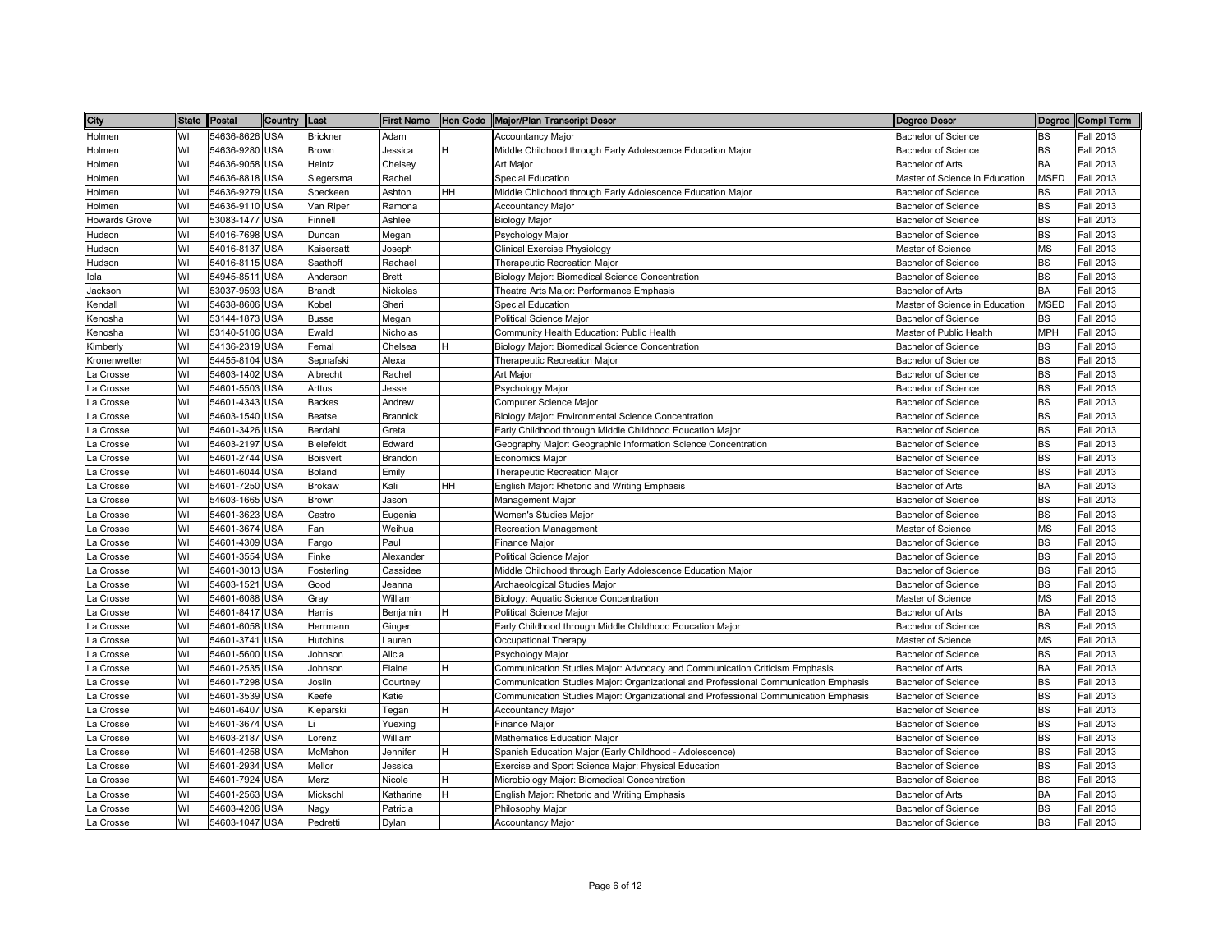| City                 |    | State Postal   | Country  Last |                 |           |     | First Name Hon Code Major/Plan Transcript Descr                                     | <b>Degree Descr</b>            |             | Degree Compl Term |
|----------------------|----|----------------|---------------|-----------------|-----------|-----|-------------------------------------------------------------------------------------|--------------------------------|-------------|-------------------|
| Holmen               | WI | 54636-8626     | <b>USA</b>    | <b>Brickner</b> | Adam      |     | <b>Accountancy Major</b>                                                            | Bachelor of Science            | <b>BS</b>   | <b>Fall 2013</b>  |
| Holmen               | WI | 54636-9280 USA |               | Brown           | Jessica   |     | Middle Childhood through Early Adolescence Education Major                          | <b>Bachelor of Science</b>     | <b>BS</b>   | <b>Fall 2013</b>  |
| Holmen               | WI | 54636-9058 USA |               | Heintz          | Chelsey   |     | Art Major                                                                           | Bachelor of Arts               | BA          | <b>Fall 2013</b>  |
| Holmen               | WI | 54636-8818 USA |               | Siegersma       | Rachel    |     | Special Education                                                                   | Master of Science in Education | <b>MSED</b> | <b>Fall 2013</b>  |
| Holmen               | WI | 54636-9279     | <b>USA</b>    | Speckeen        | Ashton    | HН  | Middle Childhood through Early Adolescence Education Major                          | <b>Bachelor of Science</b>     | <b>BS</b>   | Fall 2013         |
| Holmen               | WI | 54636-9110     | <b>USA</b>    | Van Riper       | Ramona    |     | Accountancy Major                                                                   | <b>Bachelor of Science</b>     | <b>BS</b>   | Fall 2013         |
| <b>Howards Grove</b> | WI | 53083-1477     | <b>USA</b>    | Finnell         | Ashlee    |     | <b>Biology Major</b>                                                                | <b>Bachelor of Science</b>     | <b>BS</b>   | <b>Fall 2013</b>  |
| Hudson               | WI | 54016-7698     | <b>USA</b>    | Duncan          | Megan     |     | Psychology Major                                                                    | <b>Bachelor of Science</b>     | <b>BS</b>   | <b>Fall 2013</b>  |
| Hudson               | WI | 54016-8137     | <b>USA</b>    | Kaisersatt      | Joseph    |     | <b>Clinical Exercise Physiology</b>                                                 | Master of Science              | <b>MS</b>   | Fall 2013         |
| Hudson               | WI | 54016-8115     | <b>USA</b>    | Saathoff        | Rachael   |     | Therapeutic Recreation Major                                                        | <b>Bachelor of Science</b>     | <b>BS</b>   | <b>Fall 2013</b>  |
| lola                 | WI | 54945-851      | <b>USA</b>    | Anderson        | Brett     |     | Biology Major: Biomedical Science Concentration                                     | <b>Bachelor of Science</b>     | <b>BS</b>   | <b>Fall 2013</b>  |
| Jackson              | WI | 53037-9593     | <b>USA</b>    | <b>Brandt</b>   | Nickolas  |     | Theatre Arts Major: Performance Emphasis                                            | Bachelor of Arts               | BA          | Fall 2013         |
| Kendall              | WI | 54638-8606     | <b>USA</b>    | Kobel           | Sheri     |     | Special Education                                                                   | Master of Science in Education | <b>MSED</b> | <b>Fall 2013</b>  |
| Kenosha              | WI | 53144-1873 USA |               | <b>Busse</b>    | Megan     |     | Political Science Major                                                             | Bachelor of Science            | <b>BS</b>   | <b>Fall 2013</b>  |
| Kenosha              | WI | 53140-5106     | <b>USA</b>    | Ewald           | Nicholas  |     | Community Health Education: Public Health                                           | Master of Public Health        | <b>MPH</b>  | <b>Fall 2013</b>  |
| Kimberly             | WI | 54136-2319     | <b>USA</b>    | Femal           | Chelsea   |     | Biology Major: Biomedical Science Concentration                                     | <b>Bachelor of Science</b>     | <b>BS</b>   | Fall 2013         |
| Kronenwetter         | WI | 54455-8104     | <b>USA</b>    | Sepnafski       | Alexa     |     | <b>Therapeutic Recreation Major</b>                                                 | <b>Bachelor of Science</b>     | <b>BS</b>   | Fall 2013         |
| La Crosse            | WI | 54603-1402     | <b>USA</b>    | Albrecht        | Rachel    |     | Art Major                                                                           | <b>Bachelor of Science</b>     | <b>BS</b>   | <b>Fall 2013</b>  |
| La Crosse            | WI | 54601-5503     | <b>USA</b>    | Arttus          | Jesse     |     | Psychology Major                                                                    | <b>Bachelor of Science</b>     | <b>BS</b>   | Fall 2013         |
| La Crosse            | WI | 54601-4343 USA |               | <b>Backes</b>   | Andrew    |     | Computer Science Major                                                              | <b>Bachelor of Science</b>     | <b>BS</b>   | <b>Fall 2013</b>  |
| La Crosse            | WI | 54603-1540 USA |               | Beatse          | Brannick  |     | Biology Major: Environmental Science Concentration                                  | <b>Bachelor of Science</b>     | <b>BS</b>   | <b>Fall 2013</b>  |
| La Crosse            | WI | 54601-3426     | <b>USA</b>    | Berdahl         | Greta     |     | Early Childhood through Middle Childhood Education Major                            | <b>Bachelor of Science</b>     | <b>BS</b>   | <b>Fall 2013</b>  |
| La Crosse            | WI | 54603-2197     | <b>USA</b>    | Bielefeldt      | Edward    |     | Geography Major: Geographic Information Science Concentration                       | <b>Bachelor of Science</b>     | <b>BS</b>   | Fall 2013         |
| La Crosse            | WI | 54601-2744     | <b>USA</b>    | <b>Boisvert</b> | Brandon   |     | Economics Major                                                                     | <b>Bachelor of Science</b>     | <b>BS</b>   | <b>Fall 2013</b>  |
| La Crosse            | WI | 54601-6044 USA |               | Boland          | Emily     |     | Therapeutic Recreation Major                                                        | <b>Bachelor of Science</b>     | <b>BS</b>   | <b>Fall 2013</b>  |
| La Crosse            | WI | 54601-7250 USA |               | Brokaw          | Kali      | HH. | English Major: Rhetoric and Writing Emphasis                                        | Bachelor of Arts               | BA          | <b>Fall 2013</b>  |
| La Crosse            | WI | 54603-1665     | <b>USA</b>    | Brown           | Jason     |     | Management Major                                                                    | <b>Bachelor of Science</b>     | <b>BS</b>   | <b>Fall 2013</b>  |
| La Crosse            | WI | 54601-3623     | <b>USA</b>    | Castro          | Eugenia   |     | Women's Studies Major                                                               | <b>Bachelor of Science</b>     | <b>BS</b>   | Fall 2013         |
| La Crosse            | WI | 54601-3674     | <b>USA</b>    | Fan             | Weihua    |     | Recreation Management                                                               | Master of Science              | <b>MS</b>   | Fall 2013         |
| La Crosse            | WI | 54601-4309     | <b>USA</b>    | Fargo           | Paul      |     | <b>Finance Major</b>                                                                | <b>Bachelor of Science</b>     | <b>BS</b>   | <b>Fall 2013</b>  |
| La Crosse            | WI | 54601-3554     | <b>USA</b>    | Finke           | Alexander |     | <b>Political Science Major</b>                                                      | <b>Bachelor of Science</b>     | <b>BS</b>   | <b>Fall 2013</b>  |
| La Crosse            | WI | 54601-3013     | <b>USA</b>    | Fosterling      | Cassidee  |     | Middle Childhood through Early Adolescence Education Major                          | <b>Bachelor of Science</b>     | <b>BS</b>   | <b>Fall 2013</b>  |
| La Crosse            | WI | 54603-1521     | <b>USA</b>    | Good            | Jeanna    |     | Archaeological Studies Major                                                        | <b>Bachelor of Science</b>     | <b>BS</b>   | <b>Fall 2013</b>  |
| La Crosse            | WI | 54601-6088     | <b>USA</b>    | Gray            | William   |     | Biology: Aquatic Science Concentration                                              | Master of Science              | <b>MS</b>   | <b>Fall 2013</b>  |
| La Crosse            | WI | 54601-8417     | <b>USA</b>    | Harris          | Benjamin  |     | <b>Political Science Major</b>                                                      | Bachelor of Arts               | BA          | <b>Fall 2013</b>  |
| La Crosse            | WI | 54601-6058     | <b>USA</b>    | Herrmann        | Ginger    |     | Early Childhood through Middle Childhood Education Major                            | Bachelor of Science            | <b>BS</b>   | <b>Fall 2013</b>  |
| La Crosse            | WI | 54601-3741     | <b>USA</b>    | Hutchins        | Lauren    |     | Occupational Therapy                                                                | Master of Science              | <b>MS</b>   | Fall 2013         |
| La Crosse            | WI | 54601-5600 USA |               | Johnson         | Alicia    |     | Psychology Major                                                                    | Bachelor of Science            | <b>BS</b>   | Fall 2013         |
| La Crosse            | WI | 54601-2535     | <b>USA</b>    | Johnson         | Elaine    |     | Communication Studies Major: Advocacy and Communication Criticism Emphasis          | Bachelor of Arts               | BA          | Fall 2013         |
| La Crosse            | WI | 54601-7298     | <b>USA</b>    | Joslin          | Courtney  |     | Communication Studies Major: Organizational and Professional Communication Emphasis | Bachelor of Science            | <b>BS</b>   | Fall 2013         |
| La Crosse            | WI | 54601-3539     | <b>USA</b>    | Keefe           | Katie     |     | Communication Studies Major: Organizational and Professional Communication Emphasis | <b>Bachelor of Science</b>     | <b>BS</b>   | Fall 2013         |
| La Crosse            | WI | 54601-6407     | <b>USA</b>    | Kleparski       | Tegan     |     | <b>Accountancy Major</b>                                                            | <b>Bachelor of Science</b>     | <b>BS</b>   | <b>Fall 2013</b>  |
| La Crosse            | WI | 54601-3674     | <b>USA</b>    | Li              | Yuexing   |     | <b>Finance Major</b>                                                                | <b>Bachelor of Science</b>     | <b>BS</b>   | <b>Fall 2013</b>  |
| La Crosse            | WI | 54603-2187     | <b>USA</b>    | Lorenz          | William   |     | Mathematics Education Major                                                         | <b>Bachelor of Science</b>     | <b>BS</b>   | <b>Fall 2013</b>  |
| La Crosse            | WI | 54601-4258     | <b>USA</b>    | McMahon         | Jennifer  | H   | Spanish Education Major (Early Childhood - Adolescence)                             | <b>Bachelor of Science</b>     | <b>BS</b>   | <b>Fall 2013</b>  |
| La Crosse            | WI | 54601-2934     | <b>USA</b>    | Mellor          | Jessica   |     | Exercise and Sport Science Major: Physical Education                                | Bachelor of Science            | <b>BS</b>   | <b>Fall 2013</b>  |
| La Crosse            | WI | 54601-7924     | <b>USA</b>    | Merz            | Nicole    | н   | Microbiology Major: Biomedical Concentration                                        | <b>Bachelor of Science</b>     | <b>BS</b>   | <b>Fall 2013</b>  |
| La Crosse            | WI | 54601-2563     | <b>USA</b>    | Mickschl        | Katharine |     | English Major: Rhetoric and Writing Emphasis                                        | Bachelor of Arts               | BA          | Fall 2013         |
| La Crosse            | WI | 54603-4206     | <b>USA</b>    | Nagy            | Patricia  |     | Philosophy Major                                                                    | Bachelor of Science            | <b>BS</b>   | Fall 2013         |
| La Crosse            | WI | 54603-1047 USA |               | Pedretti        | Dylan     |     | Accountancy Major                                                                   | <b>Bachelor of Science</b>     | <b>BS</b>   | <b>Fall 2013</b>  |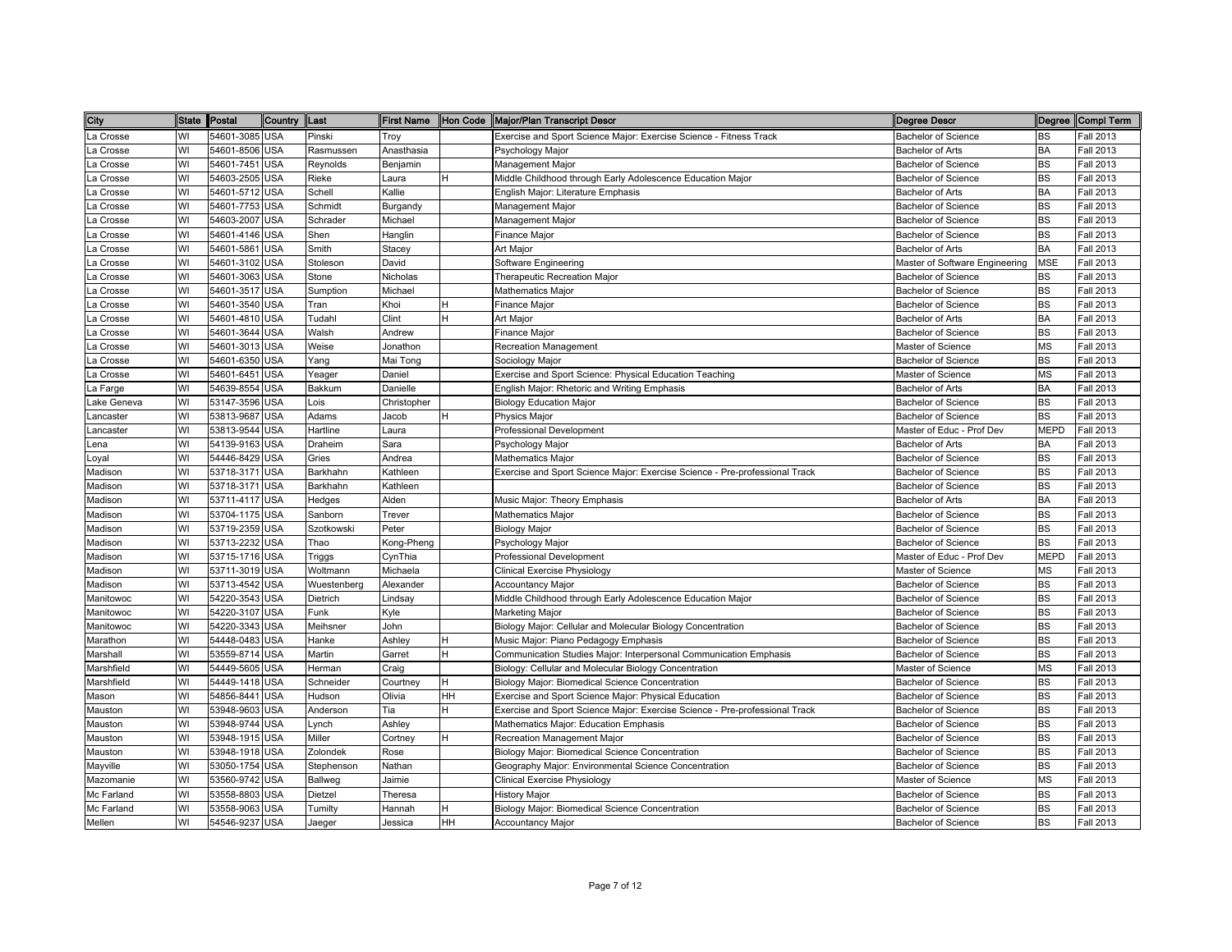| City        | State Postal |                | Country Last |             |             |              | First Name  Hon Code  Major/Plan Transcript Descr<br><b>Degree Descr</b>                                  |             | Degree Compl Term |
|-------------|--------------|----------------|--------------|-------------|-------------|--------------|-----------------------------------------------------------------------------------------------------------|-------------|-------------------|
| La Crosse   | WI           | 54601-3085 USA |              | Pinski      | Troy        |              | Exercise and Sport Science Major: Exercise Science - Fitness Track<br>Bachelor of Science                 | <b>BS</b>   | <b>Fall 2013</b>  |
| La Crosse   | WI           | 54601-8506 USA |              | Rasmussen   | Anasthasia  |              | <b>Bachelor of Arts</b><br>Psychology Major                                                               | <b>BA</b>   | Fall 2013         |
| La Crosse   | WI           | 54601-7451 USA |              | Reynolds    | Benjamin    |              | Management Major<br><b>Bachelor of Science</b>                                                            | <b>BS</b>   | <b>Fall 2013</b>  |
| _a Crosse   | WI           | 54603-2505 USA |              | Rieke       | Laura       | н            | Middle Childhood through Early Adolescence Education Major<br><b>Bachelor of Science</b>                  | <b>BS</b>   | Fall 2013         |
| La Crosse   | WI           | 54601-5712 USA |              | Schell      | Kallie      |              | English Major: Literature Emphasis<br><b>Bachelor of Arts</b>                                             | <b>BA</b>   | Fall 2013         |
| La Crosse   | WI           | 54601-7753 USA |              | Schmidt     | Burgandy    |              | Management Major<br><b>Bachelor of Science</b>                                                            | <b>BS</b>   | Fall 2013         |
| La Crosse   | WI           | 54603-2007     | <b>USA</b>   | Schrader    | Michael     |              | <b>Bachelor of Science</b><br>Management Major                                                            | <b>BS</b>   | <b>Fall 2013</b>  |
| La Crosse   | WI           | 54601-4146 USA |              | Shen        | Hanglin     |              | Finance Major<br><b>Bachelor of Science</b>                                                               | <b>BS</b>   | <b>Fall 2013</b>  |
| La Crosse   | WI           | 54601-5861     | <b>USA</b>   | Smith       | Stacey      |              | Art Major<br>Bachelor of Arts                                                                             | <b>BA</b>   | <b>Fall 2013</b>  |
| La Crosse   | WI           | 54601-3102 USA |              | Stoleson    | David       |              | Software Engineering<br>Master of Software Engineering                                                    | <b>MSE</b>  | <b>Fall 2013</b>  |
| La Crosse   | WI           | 54601-3063 USA |              | Stone       | Nicholas    |              | Therapeutic Recreation Major<br><b>Bachelor of Science</b>                                                | BS          | Fall 2013         |
| ∟a Crosse   | WI           | 54601-3517 USA |              | Sumption    | Michael     |              | Mathematics Major<br>Bachelor of Science                                                                  | <b>BS</b>   | Fall 2013         |
| La Crosse   | WI           | 54601-3540 USA |              | Tran        | Khoi        | н            | <b>Bachelor of Science</b><br>Finance Major                                                               | <b>BS</b>   | Fall 2013         |
| a Crosse    | WI           | 54601-4810 USA |              | Tudahl      | Clint       | н            | Art Major<br>Bachelor of Arts                                                                             | <b>BA</b>   | Fall 2013         |
| La Crosse   | WI           | 54601-3644 USA |              | Walsh       | Andrew      |              | Bachelor of Science<br>Finance Major                                                                      | <b>BS</b>   | Fall 2013         |
| La Crosse   | WI           | 54601-3013 USA |              | Weise       | Jonathon    |              | Recreation Management<br>Master of Science                                                                | <b>MS</b>   | Fall 2013         |
| a Crosse    | WI           | 54601-6350 USA |              | Yang        | Mai Tong    |              | <b>Bachelor of Science</b><br>Sociology Major                                                             | <b>BS</b>   | Fall 2013         |
| a Crosse    | WI           | 54601-6451     | <b>USA</b>   | Yeager      | Daniel      |              | Exercise and Sport Science: Physical Education Teaching<br>Master of Science                              | <b>MS</b>   | <b>Fall 2013</b>  |
| La Farge    | WI           | 54639-8554 USA |              | Bakkum      | Danielle    |              | English Major: Rhetoric and Writing Emphasis<br><b>Bachelor of Arts</b>                                   | <b>BA</b>   | Fall 2013         |
| Lake Geneva | WI           | 53147-3596 USA |              | Lois        | Christopher |              | <b>Biology Education Major</b><br><b>Bachelor of Science</b>                                              | <b>BS</b>   | <b>Fall 2013</b>  |
| _ancaster   | WI           | 53813-9687     | <b>USA</b>   | Adams       | Jacob       | н            | Physics Major<br><b>Bachelor of Science</b>                                                               | <b>BS</b>   | <b>Fall 2013</b>  |
| Lancaster   | WI           | 53813-9544     | <b>USA</b>   | Hartline    | Laura       |              | Professional Development<br>Master of Educ - Prof Dev                                                     | <b>MEPD</b> | <b>Fall 2013</b>  |
| _ena        | WI           | 54139-9163 USA |              | Draheim     | Sara        |              | Psychology Major<br><b>Bachelor of Arts</b>                                                               | <b>BA</b>   | Fall 2013         |
| _oyal       | WI           | 54446-8429 USA |              | Gries       | Andrea      |              | <b>Mathematics Major</b><br><b>Bachelor of Science</b>                                                    | <b>BS</b>   | Fall 2013         |
| Madison     | WI           | 53718-3171 USA |              | Barkhahn    | Kathleen    |              | Exercise and Sport Science Major: Exercise Science - Pre-professional Track<br><b>Bachelor of Science</b> | <b>BS</b>   | Fall 2013         |
| Madison     | WI           | 53718-3171 USA |              | Barkhahn    | Kathleen    |              | <b>Bachelor of Science</b>                                                                                | <b>BS</b>   | Fall 2013         |
| Madison     | WI           | 53711-4117 USA |              | Hedges      | Alden       |              | Music Major: Theory Emphasis<br>Bachelor of Arts                                                          | <b>BA</b>   | <b>Fall 2013</b>  |
| Madison     | WI           | 53704-1175 USA |              | Sanborn     | Trever      |              | Mathematics Major<br><b>Bachelor of Science</b>                                                           | <b>BS</b>   | Fall 2013         |
| Madison     | WI           | 53719-2359 USA |              | Szotkowski  | Peter       |              | <b>Biology Major</b><br><b>Bachelor of Science</b>                                                        | <b>BS</b>   | Fall 2013         |
| Madison     | WI           | 53713-2232 USA |              | Thao        | Kong-Pheng  |              | <b>Bachelor of Science</b><br>Psychology Major                                                            | <b>BS</b>   | Fall 2013         |
| Madison     | WI           | 53715-1716 USA |              | Triggs      | CynThia     |              | Master of Educ - Prof Dev<br><b>Professional Development</b>                                              | <b>MEPD</b> | <b>Fall 2013</b>  |
| Madison     | WI           | 53711-3019 USA |              | Woltmann    | Michaela    |              | <b>Clinical Exercise Physiology</b><br>Master of Science                                                  | <b>MS</b>   | <b>Fall 2013</b>  |
| Madison     | WI           | 53713-4542 USA |              | Wuestenberg | Alexander   |              | <b>Accountancy Major</b><br><b>Bachelor of Science</b>                                                    | <b>BS</b>   | <b>Fall 2013</b>  |
| Manitowoc   | WI           | 54220-3543 USA |              | Dietrich    | Lindsay     |              | Middle Childhood through Early Adolescence Education Major<br><b>Bachelor of Science</b>                  | <b>BS</b>   | <b>Fall 2013</b>  |
| Manitowoc   | WI           | 54220-3107 USA |              | Funk        | Kyle        |              | Marketing Major<br>Bachelor of Science                                                                    | <b>BS</b>   | <b>Fall 2013</b>  |
| Manitowoc   | WI           | 54220-3343 USA |              | Meihsner    | John        |              | Biology Major: Cellular and Molecular Biology Concentration<br>Bachelor of Science                        | <b>BS</b>   | <b>Fall 2013</b>  |
| Marathon    | WI           | 54448-0483 USA |              | Hanke       | Ashley      | H            | Music Major: Piano Pedagogy Emphasis<br><b>Bachelor of Science</b>                                        | <b>BS</b>   | <b>Fall 2013</b>  |
| Marshall    | WI           | 53559-8714 USA |              | Martin      | Garret      | H            | Communication Studies Major: Interpersonal Communication Emphasis<br>Bachelor of Science                  | <b>BS</b>   | <b>Fall 2013</b>  |
| Marshfield  | WI           | 54449-5605 USA |              | Herman      | Craig       |              | Biology: Cellular and Molecular Biology Concentration<br>Master of Science                                | <b>MS</b>   | <b>Fall 2013</b>  |
| Marshfield  | WI           | 54449-1418 USA |              | Schneider   | Courtney    |              | Biology Major: Biomedical Science Concentration<br><b>Bachelor of Science</b>                             | <b>BS</b>   | Fall 2013         |
| Mason       | WI           | 54856-8441     | <b>USA</b>   | Hudson      | Olivia      | <b>HH</b>    | Exercise and Sport Science Major: Physical Education<br><b>Bachelor of Science</b>                        | <b>BS</b>   | Fall 2013         |
| Mauston     | WI           | 53948-9603     | <b>USA</b>   | Anderson    | Tia         | $\mathsf{H}$ | Exercise and Sport Science Major: Exercise Science - Pre-professional Track<br><b>Bachelor of Science</b> | <b>BS</b>   | <b>Fall 2013</b>  |
| Mauston     | WI           | 53948-9744 USA |              | Lynch       | Ashley      |              | Mathematics Major: Education Emphasis<br><b>Bachelor of Science</b>                                       | <b>BS</b>   | <b>Fall 2013</b>  |
| Mauston     | WI           | 53948-1915 USA |              | Miller      | Cortney     | н            | Recreation Management Major<br><b>Bachelor of Science</b>                                                 | <b>BS</b>   | <b>Fall 2013</b>  |
| Mauston     | WI           | 53948-1918 USA |              | Zolondek    | Rose        |              | Biology Major: Biomedical Science Concentration<br>Bachelor of Science                                    | <b>BS</b>   | <b>Fall 2013</b>  |
| Mayville    | WI           | 53050-1754 USA |              | Stephenson  | Nathan      |              | Geography Major: Environmental Science Concentration<br>Bachelor of Science                               | <b>BS</b>   | <b>Fall 2013</b>  |
| Mazomanie   | WI           | 53560-9742 USA |              | Ballweg     | Jaimie      |              | <b>Clinical Exercise Physiology</b><br>Master of Science                                                  | <b>MS</b>   | Fall 2013         |
| Mc Farland  | WI           | 53558-8803 USA |              | Dietzel     | Theresa     |              | Bachelor of Science<br>History Major                                                                      | <b>BS</b>   | Fall 2013         |
| Mc Farland  | WI           | 53558-9063 USA |              | Tumilty     | Hannah      | Н            | Biology Major: Biomedical Science Concentration<br>Bachelor of Science                                    | <b>BS</b>   | Fall 2013         |
| Mellen      | WI           | 54546-9237 USA |              | Jaeger      | Jessica     | <b>HH</b>    | <b>Bachelor of Science</b><br><b>Accountancy Major</b>                                                    | <b>BS</b>   | <b>Fall 2013</b>  |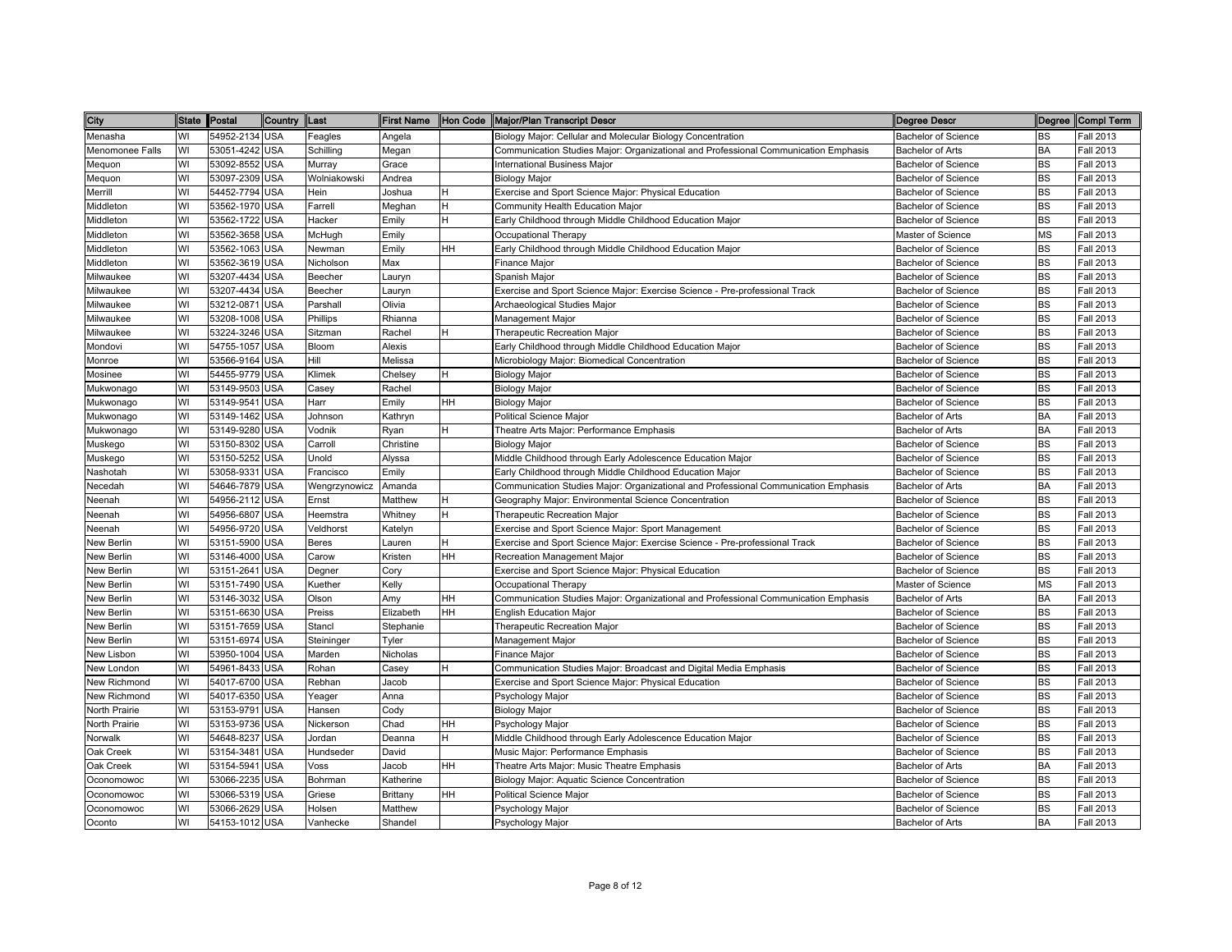| City            | State Postal |                | Country    | <b>Last</b>   |           |           | First Name  Hon Code  Major/Plan Transcript Descr                                   | <b>Degree Descr</b>        |           | Degree Compl Term |
|-----------------|--------------|----------------|------------|---------------|-----------|-----------|-------------------------------------------------------------------------------------|----------------------------|-----------|-------------------|
| Menasha         | WI           | 54952-2134 USA |            | Feagles       | Angela    |           | Biology Major: Cellular and Molecular Biology Concentration                         | <b>Bachelor of Science</b> | <b>BS</b> | <b>Fall 2013</b>  |
| Menomonee Falls | WI           | 53051-4242 USA |            | Schilling     | Megan     |           | Communication Studies Major: Organizational and Professional Communication Emphasis | Bachelor of Arts           | <b>BA</b> | <b>Fall 2013</b>  |
| Mequon          | WI           | 53092-8552 USA |            | Murray        | Grace     |           | International Business Major                                                        | <b>Bachelor of Science</b> | <b>BS</b> | <b>Fall 2013</b>  |
| Mequon          | WI           | 53097-2309 USA |            | Wolniakowski  | Andrea    |           | <b>Biology Major</b>                                                                | <b>Bachelor of Science</b> | <b>BS</b> | Fall 2013         |
| Merrill         | WI           | 54452-7794 USA |            | Hein          | Joshua    |           | Exercise and Sport Science Major: Physical Education                                | <b>Bachelor of Science</b> | <b>BS</b> | Fall 2013         |
| Middleton       | WI           | 53562-1970 USA |            | Farrell       | Meghan    |           | Community Health Education Major                                                    | <b>Bachelor of Science</b> | <b>BS</b> | <b>Fall 2013</b>  |
| Middleton       | WI           | 53562-1722 USA |            | Hacker        | Emily     | н         | Early Childhood through Middle Childhood Education Major                            | <b>Bachelor of Science</b> | <b>BS</b> | <b>Fall 2013</b>  |
| Middleton       | WI           | 53562-3658 USA |            | McHugh        | Emily     |           | Occupational Therapy                                                                | Master of Science          | <b>MS</b> | <b>Fall 2013</b>  |
| Middleton       | WI           | 53562-1063     | <b>USA</b> | Newman        | Emily     | <b>HH</b> | Early Childhood through Middle Childhood Education Major                            | <b>Bachelor of Science</b> | <b>BS</b> | <b>Fall 2013</b>  |
| Middleton       | WI           | 53562-3619 USA |            | Nicholson     | Max       |           | <b>Finance Major</b>                                                                | <b>Bachelor of Science</b> | <b>BS</b> | Fall 2013         |
| Milwaukee       | WI           | 53207-4434 USA |            | Beecher       | Lauryn    |           | Spanish Major                                                                       | Bachelor of Science        | <b>BS</b> | Fall 2013         |
| Milwaukee       | WI           | 53207-4434 USA |            | Beecher       | ∟auryn    |           | Exercise and Sport Science Major: Exercise Science - Pre-professional Track         | <b>Bachelor of Science</b> | <b>BS</b> | Fall 2013         |
| Milwaukee       | WI           | 53212-0871 USA |            | Parshall      | Olivia    |           | Archaeological Studies Major                                                        | <b>Bachelor of Science</b> | <b>BS</b> | Fall 2013         |
| Milwaukee       | WI           | 53208-1008 USA |            | Phillips      | Rhianna   |           | Management Major                                                                    | Bachelor of Science        | <b>BS</b> | <b>Fall 2013</b>  |
| Milwaukee       | WI           | 53224-3246 USA |            | Sitzman       | Rachel    | н         | Therapeutic Recreation Major                                                        | <b>Bachelor of Science</b> | <b>BS</b> | <b>Fall 2013</b>  |
| Mondovi         | WI           | 54755-1057     | <b>USA</b> | Bloom         | Alexis    |           | Early Childhood through Middle Childhood Education Major                            | <b>Bachelor of Science</b> | <b>BS</b> | Fall 2013         |
| Monroe          | WI           | 53566-9164 USA |            | Hill          | Melissa   |           | Microbiology Major: Biomedical Concentration                                        | <b>Bachelor of Science</b> | <b>BS</b> | Fall 2013         |
| Mosinee         | WI           | 54455-9779 USA |            | Klimek        | Chelsey   | н         | <b>Biology Major</b>                                                                | <b>Bachelor of Science</b> | <b>BS</b> | <b>Fall 2013</b>  |
| Mukwonago       | WI           | 53149-9503 USA |            | Casey         | Rachel    |           | <b>Biology Major</b>                                                                | <b>Bachelor of Science</b> | <b>BS</b> | <b>Fall 2013</b>  |
| Mukwonago       | WI           | 53149-9541     | <b>USA</b> | Harr          | Emily     | HH        | <b>Biology Major</b>                                                                | <b>Bachelor of Science</b> | <b>BS</b> | <b>Fall 2013</b>  |
| Mukwonago       | WI           | 53149-1462 USA |            | Johnson       | Kathryn   |           | <b>Political Science Major</b>                                                      | Bachelor of Arts           | <b>BA</b> | Fall 2013         |
| Mukwonago       | WI           | 53149-9280 USA |            | Vodnik        | Ryan      | н         | Theatre Arts Major: Performance Emphasis                                            | <b>Bachelor of Arts</b>    | <b>BA</b> | Fall 2013         |
| Muskego         | WI           | 53150-8302 USA |            | Carroll       | Christine |           | <b>Biology Major</b>                                                                | Bachelor of Science        | <b>BS</b> | Fall 2013         |
| Muskego         | WI           | 53150-5252 USA |            | Unold         | Alyssa    |           | Middle Childhood through Early Adolescence Education Major                          | Bachelor of Science        | <b>BS</b> | Fall 2013         |
| Nashotah        | WI           | 53058-9331     | <b>USA</b> | Francisco     | Emily     |           | Early Childhood through Middle Childhood Education Major                            | Bachelor of Science        | <b>BS</b> | Fall 2013         |
| Necedah         | WI           | 54646-7879 USA |            | Wengrzynowicz | Amanda    |           | Communication Studies Major: Organizational and Professional Communication Emphasis | <b>Bachelor of Arts</b>    | BA        | <b>Fall 2013</b>  |
| Neenah          | WI           | 54956-2112 USA |            | Ernst         | Matthew   | Н         | Geography Major: Environmental Science Concentration                                | Bachelor of Science        | <b>BS</b> | Fall 2013         |
| Veenah          | WI           | 54956-6807     | <b>USA</b> | Heemstra      | Whitney   | н         | Therapeutic Recreation Major                                                        | <b>Bachelor of Science</b> | <b>BS</b> | Fall 2013         |
| Neenah          | WI           | 54956-9720 USA |            | Veldhorst     | Katelyn   |           | Exercise and Sport Science Major: Sport Management                                  | <b>Bachelor of Science</b> | <b>BS</b> | Fall 2013         |
| New Berlin      | WI           | 53151-5900 USA |            | <b>Beres</b>  | auren     | H         | Exercise and Sport Science Major: Exercise Science - Pre-professional Track         | <b>Bachelor of Science</b> | <b>BS</b> | Fall 2013         |
| New Berlin      | WI           | 53146-4000 USA |            | Carow         | Kristen   | <b>HH</b> | Recreation Management Major                                                         | <b>Bachelor of Science</b> | <b>BS</b> | <b>Fall 2013</b>  |
| New Berlin      | WI           | 53151-2641     | <b>USA</b> | Degner        | Cory      |           | Exercise and Sport Science Major: Physical Education                                | <b>Bachelor of Science</b> | <b>BS</b> | <b>Fall 2013</b>  |
| New Berlin      | WI           | 53151-7490 USA |            | Kuether       | Kelly     |           | Occupational Therapy                                                                | Master of Science          | <b>MS</b> | <b>Fall 2013</b>  |
| New Berlin      | WI           | 53146-3032 USA |            | Olson         | Amy       | <b>HH</b> | Communication Studies Major: Organizational and Professional Communication Emphasis | Bachelor of Arts           | <b>BA</b> | Fall 2013         |
| New Berlin      | WI           | 53151-6630 USA |            | Preiss        | Elizabeth | <b>HH</b> | <b>English Education Major</b>                                                      | Bachelor of Science        | <b>BS</b> | Fall 2013         |
| New Berlin      | WI           | 53151-7659 USA |            | Stancl        | Stephanie |           | Therapeutic Recreation Major                                                        | <b>Bachelor of Science</b> | <b>BS</b> | Fall 2013         |
| New Berlin      | WI           | 53151-6974 USA |            | Steininger    | Tyler     |           | Management Major                                                                    | <b>Bachelor of Science</b> | <b>BS</b> | <b>Fall 2013</b>  |
| New Lisbon      | WI           | 53950-1004 USA |            | Marden        | Nicholas  |           | Finance Major                                                                       | <b>Bachelor of Science</b> | <b>BS</b> | <b>Fall 2013</b>  |
| New London      | WI           | 54961-8433 USA |            | Rohan         | Casey     |           | Communication Studies Major: Broadcast and Digital Media Emphasis                   | Bachelor of Science        | <b>BS</b> | Fall 2013         |
| New Richmond    | WI           | 54017-6700 USA |            | Rebhan        | Jacob     |           | Exercise and Sport Science Major: Physical Education                                | <b>Bachelor of Science</b> | <b>BS</b> | Fall 2013         |
| New Richmond    | WI           | 54017-6350 USA |            | Yeager        | Anna      |           | Psychology Major                                                                    | <b>Bachelor of Science</b> | <b>BS</b> | Fall 2013         |
| North Prairie   | WI           | 53153-9791     | <b>USA</b> | Hansen        | Cody      |           | <b>Biology Major</b>                                                                | <b>Bachelor of Science</b> | <b>BS</b> | <b>Fall 2013</b>  |
| North Prairie   | WI           | 53153-9736 USA |            | Nickerson     | Chad      | HH        | Psychology Major                                                                    | Bachelor of Science        | <b>BS</b> | <b>Fall 2013</b>  |
| Norwalk         | WI           | 54648-8237     | <b>USA</b> | Jordan        | Deanna    | н         | Middle Childhood through Early Adolescence Education Major                          | <b>Bachelor of Science</b> | <b>BS</b> | <b>Fall 2013</b>  |
| Oak Creek       | WI           | 53154-3481     | <b>USA</b> | Hundseder     | David     |           | Music Major: Performance Emphasis                                                   | Bachelor of Science        | <b>BS</b> | <b>Fall 2013</b>  |
| Oak Creek       | WI           | 53154-5941     | <b>USA</b> | Voss          | Jacob     | HH        | Theatre Arts Major: Music Theatre Emphasis                                          | Bachelor of Arts           | <b>BA</b> | <b>Fall 2013</b>  |
| Oconomowoc      | WI           | 53066-2235 USA |            | Bohrman       | Katherine |           | Biology Major: Aquatic Science Concentration                                        | <b>Bachelor of Science</b> | <b>BS</b> | Fall 2013         |
| Oconomowoc      | WI           | 53066-5319 USA |            | Griese        | Brittany  | HH        | Political Science Major                                                             | Bachelor of Science        | <b>BS</b> | Fall 2013         |
| Oconomowoc      | WI           | 53066-2629 USA |            | Holsen        | Matthew   |           | Psychology Major                                                                    | Bachelor of Science        | <b>BS</b> | Fall 2013         |
| Oconto          | WI           | 54153-1012 USA |            | Vanhecke      | Shandel   |           | Psychology Major                                                                    | <b>Bachelor of Arts</b>    | <b>BA</b> | <b>Fall 2013</b>  |
|                 |              |                |            |               |           |           |                                                                                     |                            |           |                   |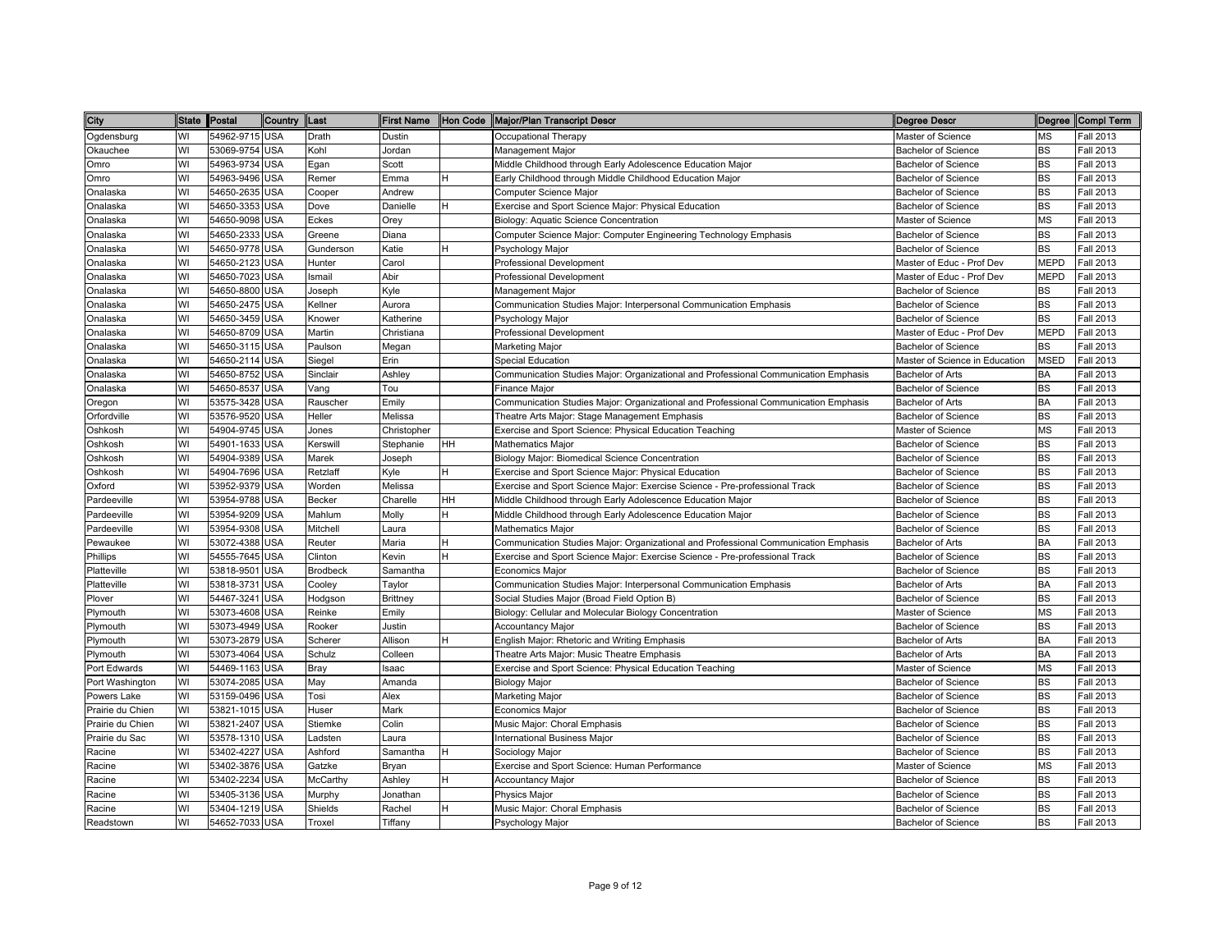| City             |    | State Postal   | Country Last |                 |             |    | First Name Hon Code Major/Plan Transcript Descr                                     | Degree Descr                   |             | Degree Compl Term |
|------------------|----|----------------|--------------|-----------------|-------------|----|-------------------------------------------------------------------------------------|--------------------------------|-------------|-------------------|
| Ogdensburg       | WI | 54962-9715 USA |              | Drath           | Dustin      |    | Occupational Therapy                                                                | Master of Science              | <b>MS</b>   | Fall 2013         |
| Okauchee         | WI | 53069-9754 USA |              | Kohl            | Jordan      |    | Management Major                                                                    | Bachelor of Science            | <b>BS</b>   | Fall 2013         |
| Omro             | WI | 54963-9734     | <b>USA</b>   | Egan            | Scott       |    | Middle Childhood through Early Adolescence Education Major                          | <b>Bachelor of Science</b>     | <b>BS</b>   | Fall 2013         |
| Omro             | WI | 54963-9496     | <b>USA</b>   | Remer           | Emma        |    | Early Childhood through Middle Childhood Education Major                            | <b>Bachelor of Science</b>     | <b>BS</b>   | Fall 2013         |
| Onalaska         | WI | 54650-2635     | <b>USA</b>   | Cooper          | Andrew      |    | Computer Science Major                                                              | <b>Bachelor of Science</b>     | <b>BS</b>   | Fall 2013         |
| Onalaska         | WI | 54650-3353     | <b>USA</b>   | Dove            | Danielle    |    | Exercise and Sport Science Major: Physical Education                                | <b>Bachelor of Science</b>     | <b>BS</b>   | <b>Fall 2013</b>  |
| Onalaska         | WI | 54650-9098     | <b>USA</b>   | Eckes           | Orey        |    | Biology: Aquatic Science Concentration                                              | Master of Science              | <b>MS</b>   | <b>Fall 2013</b>  |
| Onalaska         | WI | 54650-2333     | <b>USA</b>   | Greene          | Diana       |    | Computer Science Major: Computer Engineering Technology Emphasis                    | Bachelor of Science            | <b>BS</b>   | <b>Fall 2013</b>  |
| Onalaska         | WI | 54650-9778     | <b>USA</b>   | Gunderson       | Katie       |    | Psychology Major                                                                    | Bachelor of Science            | <b>BS</b>   | Fall 2013         |
| Onalaska         | WI | 54650-2123     | <b>USA</b>   | Hunter          | Carol       |    | Professional Development                                                            | Master of Educ - Prof Dev      | <b>MEPD</b> | <b>Fall 2013</b>  |
| Onalaska         | WI | 54650-7023     | <b>USA</b>   | Ismail          | Abir        |    | Professional Development                                                            | Master of Educ - Prof Dev      | <b>MEPD</b> | <b>Fall 2013</b>  |
| Onalaska         | WI | 54650-8800 USA |              | Joseph          | Kyle        |    | Management Major                                                                    | Bachelor of Science            | <b>BS</b>   | <b>Fall 2013</b>  |
| Onalaska         | WI | 54650-2475 USA |              | Kellner         | Aurora      |    | Communication Studies Major: Interpersonal Communication Emphasis                   | Bachelor of Science            | <b>BS</b>   | <b>Fall 2013</b>  |
| Onalaska         | WI | 54650-3459 USA |              | Knower          | Katherine   |    | Psychology Major                                                                    | Bachelor of Science            | <b>BS</b>   | Fall 2013         |
| Onalaska         | WI | 54650-8709     | <b>USA</b>   | Martin          | Christiana  |    | Professional Development                                                            | Master of Educ - Prof Dev      | <b>MEPD</b> | <b>Fall 2013</b>  |
| Onalaska         | WI | 54650-3115     | <b>USA</b>   | Paulson         | Megan       |    | Marketing Major                                                                     | <b>Bachelor of Science</b>     | <b>BS</b>   | Fall 2013         |
| Onalaska         | WI | 54650-2114     | <b>USA</b>   | Siegel          | Erin        |    | <b>Special Education</b>                                                            | Master of Science in Education | <b>MSED</b> | Fall 2013         |
| Onalaska         | WI | 54650-8752     | <b>USA</b>   | Sinclair        | Ashley      |    | Communication Studies Major: Organizational and Professional Communication Emphasis | <b>Bachelor of Arts</b>        | <b>BA</b>   | Fall 2013         |
| Onalaska         | WI | 54650-8537     | <b>USA</b>   | Vang            | Tou         |    | <b>Finance Major</b>                                                                | <b>Bachelor of Science</b>     | <b>BS</b>   | <b>Fall 2013</b>  |
| Oregon           | WI | 53575-3428     | <b>USA</b>   | Rauscher        | Emily       |    | Communication Studies Major: Organizational and Professional Communication Emphasis | Bachelor of Arts               | BA          | Fall 2013         |
| Orfordville      | WI | 53576-9520     | <b>USA</b>   | Heller          | Melissa     |    | Theatre Arts Major: Stage Management Emphasis                                       | Bachelor of Science            | <b>BS</b>   | <b>Fall 2013</b>  |
| Oshkosh          | WI | 54904-9745     | <b>USA</b>   | Jones           | Christopher |    | Exercise and Sport Science: Physical Education Teaching                             | Master of Science              | <b>MS</b>   | <b>Fall 2013</b>  |
| Oshkosh          | WI | 54901-1633     | <b>USA</b>   | Kerswill        | Stephanie   | HH | <b>Mathematics Major</b>                                                            | <b>Bachelor of Science</b>     | <b>BS</b>   | <b>Fall 2013</b>  |
| Oshkosh          | WI | 54904-9389     | <b>USA</b>   | Marek           | Joseph      |    | Biology Major: Biomedical Science Concentration                                     | Bachelor of Science            | <b>BS</b>   | Fall 2013         |
| Oshkosh          | WI | 54904-7696 USA |              | Retzlaff        | Kyle        | н  | Exercise and Sport Science Major: Physical Education                                | Bachelor of Science            | <b>BS</b>   | <b>Fall 2013</b>  |
| Oxford           | WI | 53952-9379 USA |              | Worden          | Melissa     |    | Exercise and Sport Science Major: Exercise Science - Pre-professional Track         | <b>Bachelor of Science</b>     | BS          | Fall 2013         |
| Pardeeville      | WI | 53954-9788     | <b>USA</b>   | Becker          | Charelle    | HH | Middle Childhood through Early Adolescence Education Major                          | Bachelor of Science            | <b>BS</b>   | Fall 2013         |
| Pardeeville      | WI | 53954-9209     | <b>USA</b>   | Mahlum          | Molly       |    | Middle Childhood through Early Adolescence Education Major                          | <b>Bachelor of Science</b>     | <b>BS</b>   | Fall 2013         |
| Pardeeville      | WI | 53954-9308     | <b>USA</b>   | Mitchell        | aura.       |    | <b>Mathematics Major</b>                                                            | <b>Bachelor of Science</b>     | <b>BS</b>   | Fall 2013         |
| Pewaukee         | WI | 53072-4388     | <b>USA</b>   | Reuter          | Maria       |    | Communication Studies Major: Organizational and Professional Communication Emphasis | Bachelor of Arts               | BA          | Fall 2013         |
| Phillips         | WI | 54555-7645     | <b>USA</b>   | Clinton         | Kevin       |    | Exercise and Sport Science Major: Exercise Science - Pre-professional Track         | <b>Bachelor of Science</b>     | <b>BS</b>   | <b>Fall 2013</b>  |
| Platteville      | WI | 53818-9501     | <b>USA</b>   | <b>Brodbeck</b> | Samantha    |    | Economics Major                                                                     | <b>Bachelor of Science</b>     | <b>BS</b>   | <b>Fall 2013</b>  |
| Platteville      | WI | 53818-3731     | <b>USA</b>   | Cooley          | Taylor      |    | Communication Studies Major: Interpersonal Communication Emphasis                   | Bachelor of Arts               | BA          | Fall 2013         |
| Plover           | WI | 54467-3241     | <b>USA</b>   | Hodgson         | Brittney    |    | Social Studies Major (Broad Field Option B)                                         | <b>Bachelor of Science</b>     | <b>BS</b>   | <b>Fall 2013</b>  |
| Plymouth         | WI | 53073-4608     | <b>USA</b>   | Reinke          | Emily       |    | Biology: Cellular and Molecular Biology Concentration                               | Master of Science              | <b>MS</b>   | <b>Fall 2013</b>  |
| Plymouth         | WI | 53073-4949 USA |              | Rooker          | Justin      |    | Accountancy Major                                                                   | Bachelor of Science            | <b>BS</b>   | <b>Fall 2013</b>  |
| Plymouth         | WI | 53073-2879 USA |              | Scherer         | Allison     | н  | English Major: Rhetoric and Writing Emphasis                                        | Bachelor of Arts               | <b>BA</b>   | <b>Fall 2013</b>  |
| Plymouth         | WI | 53073-4064     | <b>USA</b>   | Schulz          | Colleen     |    | Theatre Arts Major: Music Theatre Emphasis                                          | Bachelor of Arts               | BA          | <b>Fall 2013</b>  |
| Port Edwards     | WI | 54469-1163     | <b>USA</b>   | Bray            | Isaac       |    | Exercise and Sport Science: Physical Education Teaching                             | Master of Science              | <b>MS</b>   | Fall 2013         |
| Port Washington  | WI | 53074-2085     | <b>USA</b>   | May             | Amanda      |    | <b>Biology Major</b>                                                                | <b>Bachelor of Science</b>     | <b>BS</b>   | Fall 2013         |
| Powers Lake      | WI | 53159-0496     | <b>USA</b>   | Tosi            | Alex        |    | Marketing Major                                                                     | <b>Bachelor of Science</b>     | <b>BS</b>   | Fall 2013         |
| Prairie du Chien | WI | 53821-1015     | <b>USA</b>   | Huser           | Mark        |    | Economics Major                                                                     | <b>Bachelor of Science</b>     | <b>BS</b>   | <b>Fall 2013</b>  |
| Prairie du Chien | WI | 53821-2407     | <b>USA</b>   | Stiemke         | Colin       |    | Music Major: Choral Emphasis                                                        | Bachelor of Science            | <b>BS</b>   | Fall 2013         |
| Prairie du Sac   | WI | 53578-1310     | <b>USA</b>   | Ladsten         | aura.       |    | International Business Major                                                        | <b>Bachelor of Science</b>     | <b>BS</b>   | <b>Fall 2013</b>  |
| Racine           | WI | 53402-4227     | <b>USA</b>   | Ashford         | Samantha    | H  | Sociology Major                                                                     | Bachelor of Science            | <b>BS</b>   | <b>Fall 2013</b>  |
| Racine           | WI | 53402-3876     | <b>USA</b>   | Gatzke          | Bryan       |    | Exercise and Sport Science: Human Performance                                       | Master of Science              | <b>MS</b>   | <b>Fall 2013</b>  |
| Racine           | WI | 53402-2234     | <b>USA</b>   | McCarthy        | Ashley      | н  | Accountancy Major                                                                   | <b>Bachelor of Science</b>     | <b>BS</b>   | <b>Fall 2013</b>  |
| Racine           | WI | 53405-3136     | <b>USA</b>   | Murphy          | Jonathan    |    | Physics Major                                                                       | <b>Bachelor of Science</b>     | <b>BS</b>   | Fall 2013         |
| Racine           | WI | 53404-1219 USA |              | Shields         | Rachel      | H  | Music Major: Choral Emphasis                                                        | Bachelor of Science            | <b>BS</b>   | Fall 2013         |
| Readstown        | WI | 54652-7033 USA |              | Troxel          | Tiffany     |    | Psychology Major                                                                    | <b>Bachelor of Science</b>     | <b>BS</b>   | <b>Fall 2013</b>  |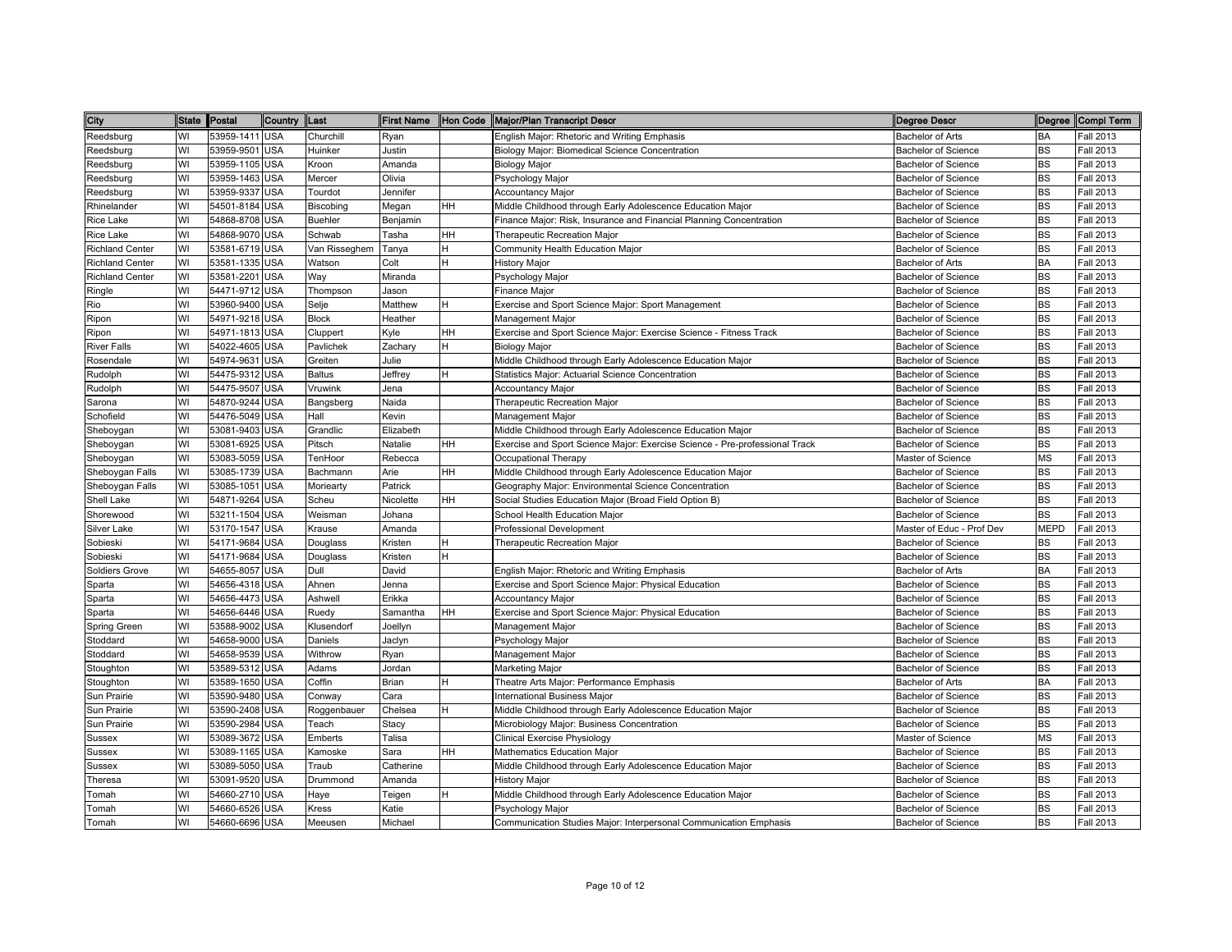| City                   | State Postal |                | Country Last |                |           |              | First Name Hon Code Major/Plan Transcript Descr                             | <b>Degree Descr</b>        |           | Degree Compl Term |
|------------------------|--------------|----------------|--------------|----------------|-----------|--------------|-----------------------------------------------------------------------------|----------------------------|-----------|-------------------|
| Reedsburg              | WI           | 53959-1411 USA |              | Churchill      | Ryan      |              | English Major: Rhetoric and Writing Emphasis                                | <b>Bachelor of Arts</b>    | <b>BA</b> | <b>Fall 2013</b>  |
| Reedsburg              | WI           | 53959-9501     | <b>USA</b>   | Huinker        | Justin    |              | Biology Major: Biomedical Science Concentration                             | Bachelor of Science        | <b>BS</b> | Fall 2013         |
| Reedsburg              | WI           | 53959-1105 USA |              | Kroon          | Amanda    |              | <b>Biology Major</b>                                                        | <b>Bachelor of Science</b> | <b>BS</b> | <b>Fall 2013</b>  |
| Reedsburg              | WI           | 53959-1463 USA |              | Mercer         | Olivia    |              | Psychology Major                                                            | <b>Bachelor of Science</b> | <b>BS</b> | Fall 2013         |
| Reedsburg              | WI           | 53959-9337     | <b>USA</b>   | Tourdot        | Jennifer  |              | <b>Accountancy Major</b>                                                    | <b>Bachelor of Science</b> | <b>BS</b> | <b>Fall 2013</b>  |
| Rhinelander            | WI           | 54501-8184 USA |              | Biscobing      | Megan     | <b>HH</b>    | Middle Childhood through Early Adolescence Education Major                  | <b>Bachelor of Science</b> | <b>BS</b> | Fall 2013         |
| Rice Lake              | WI           | 54868-8708 USA |              | <b>Buehler</b> | Benjamin  |              | Finance Major: Risk, Insurance and Financial Planning Concentration         | <b>Bachelor of Science</b> | <b>BS</b> | <b>Fall 2013</b>  |
| Rice Lake              | WI           | 54868-9070 USA |              | Schwab         | Tasha     | <b>HH</b>    | Therapeutic Recreation Major                                                | <b>Bachelor of Science</b> | <b>BS</b> | <b>Fall 2013</b>  |
| <b>Richland Center</b> | WI           | 53581-6719 USA |              | Van Risseghem  | Tanya     | н            | Community Health Education Major                                            | <b>Bachelor of Science</b> | <b>BS</b> | <b>Fall 2013</b>  |
| <b>Richland Center</b> | WI           | 53581-1335 USA |              | Watson         | Colt      | н            | <b>History Major</b>                                                        | Bachelor of Arts           | <b>BA</b> | <b>Fall 2013</b>  |
| <b>Richland Center</b> | WI           | 53581-2201     | <b>USA</b>   | Way            | Miranda   |              | Psychology Major                                                            | Bachelor of Science        | <b>BS</b> | Fall 2013         |
| Ringle                 | WI           | 54471-9712 USA |              | Thompson       | Jason     |              | <b>Finance Major</b>                                                        | <b>Bachelor of Science</b> | <b>BS</b> | Fall 2013         |
| Rio                    | WI           | 53960-9400 USA |              | Selje          | Matthew   | H            | Exercise and Sport Science Major: Sport Management                          | <b>Bachelor of Science</b> | <b>BS</b> | Fall 2013         |
| Ripon                  | WI           | 54971-9218 USA |              | <b>Block</b>   | Heather   |              | Management Major                                                            | <b>Bachelor of Science</b> | <b>BS</b> | <b>Fall 2013</b>  |
| Ripon                  | WI           | 54971-1813 USA |              | Cluppert       | Kyle      | HH           | Exercise and Sport Science Major: Exercise Science - Fitness Track          | <b>Bachelor of Science</b> | <b>BS</b> | Fall 2013         |
| <b>River Falls</b>     | WI           | 54022-4605 USA |              | Pavlichek      | Zachary   | н            | <b>Biology Major</b>                                                        | <b>Bachelor of Science</b> | <b>BS</b> | <b>Fall 2013</b>  |
| Rosendale              | WI           | 54974-9631     | <b>USA</b>   | Greiten        | Julie     |              | Middle Childhood through Early Adolescence Education Major                  | <b>Bachelor of Science</b> | <b>BS</b> | Fall 2013         |
| Rudolph                | WI           | 54475-9312     | <b>USA</b>   | <b>Baltus</b>  | Jeffrey   |              | Statistics Major: Actuarial Science Concentration                           | <b>Bachelor of Science</b> | <b>BS</b> | Fall 2013         |
| Rudolph                | WI           | 54475-9507     | <b>USA</b>   | Vruwink        | Jena      |              | <b>Accountancy Major</b>                                                    | <b>Bachelor of Science</b> | <b>BS</b> | <b>Fall 2013</b>  |
| Sarona                 | WI           | 54870-9244     | <b>USA</b>   | Bangsberg      | Naida     |              | Therapeutic Recreation Major                                                | <b>Bachelor of Science</b> | <b>BS</b> | <b>Fall 2013</b>  |
| Schofield              | WI           | 54476-5049 USA |              | Hall           | Kevin     |              | Management Major                                                            | Bachelor of Science        | <b>BS</b> | Fall 2013         |
| Sheboygan              | WI           | 53081-9403 USA |              | Grandlic       | Elizabeth |              | Middle Childhood through Early Adolescence Education Major                  | <b>Bachelor of Science</b> | <b>BS</b> | <b>Fall 2013</b>  |
| Sheboygan              | WI           | 53081-6925 USA |              | Pitsch         | Natalie   | HH           | Exercise and Sport Science Major: Exercise Science - Pre-professional Track | <b>Bachelor of Science</b> | <b>BS</b> | Fall 2013         |
| Sheboygan              | WI           | 53083-5059 USA |              | TenHoor        | Rebecca   |              | Occupational Therapy                                                        | Master of Science          | <b>MS</b> | Fall 2013         |
| Sheboygan Falls        | WI           | 53085-1739 USA |              | Bachmann       | Arie      | HH           | Middle Childhood through Early Adolescence Education Major                  | <b>Bachelor of Science</b> | <b>BS</b> | <b>Fall 2013</b>  |
| Sheboygan Falls        | WI           | 53085-1051 USA |              | Moriearty      | Patrick   |              | Geography Major: Environmental Science Concentration                        | <b>Bachelor of Science</b> | <b>BS</b> | <b>Fall 2013</b>  |
| Shell Lake             | WI           | 54871-9264 USA |              | Scheu          | Nicolette | HH           | Social Studies Education Major (Broad Field Option B)                       | Bachelor of Science        | <b>BS</b> | <b>Fall 2013</b>  |
| Shorewood              | WI           | 53211-1504 USA |              | Weisman        | Johana    |              | School Health Education Major                                               | <b>Bachelor of Science</b> | <b>BS</b> | <b>Fall 2013</b>  |
| Silver Lake            | WI           | 53170-1547 USA |              | Krause         | Amanda    |              | Professional Development                                                    | Master of Educ - Prof Dev  | MEPD      | <b>Fall 2013</b>  |
| Sobieski               | WI           | 54171-9684     | <b>USA</b>   | Douglass       | Kristen   |              | Therapeutic Recreation Major                                                | <b>Bachelor of Science</b> | <b>BS</b> | Fall 2013         |
| Sobieski               | WI           | 54171-9684     | <b>USA</b>   | Douglass       | Kristen   | $\mathsf{H}$ |                                                                             | <b>Bachelor of Science</b> | <b>BS</b> | Fall 2013         |
| <b>Soldiers Grove</b>  | WI           | 54655-8057 USA |              | Dull           | David     |              | English Major: Rhetoric and Writing Emphasis                                | Bachelor of Arts           | <b>BA</b> | <b>Fall 2013</b>  |
| Sparta                 | WI           | 54656-4318 USA |              | Ahnen          | Jenna     |              | Exercise and Sport Science Major: Physical Education                        | <b>Bachelor of Science</b> | <b>BS</b> | <b>Fall 2013</b>  |
| Sparta                 | WI           | 54656-4473 USA |              | Ashwell        | Erikka    |              | <b>Accountancy Major</b>                                                    | <b>Bachelor of Science</b> | <b>BS</b> | <b>Fall 2013</b>  |
| Sparta                 | WI           | 54656-6446 USA |              | Ruedy          | Samantha  | <b>HH</b>    | Exercise and Sport Science Major: Physical Education                        | <b>Bachelor of Science</b> | <b>BS</b> | <b>Fall 2013</b>  |
| Spring Green           | WI           | 53588-9002 USA |              | Klusendorf     | Joellyn   |              | Management Major                                                            | <b>Bachelor of Science</b> | <b>BS</b> | Fall 2013         |
| Stoddard               | WI           | 54658-9000 USA |              | Daniels        | Jaclyn    |              | Psychology Major                                                            | <b>Bachelor of Science</b> | <b>BS</b> | <b>Fall 2013</b>  |
| Stoddard               | WI           | 54658-9539 USA |              | Withrow        | Ryan      |              | Management Major                                                            | <b>Bachelor of Science</b> | <b>BS</b> | <b>Fall 2013</b>  |
| Stoughton              | WI           | 53589-5312 USA |              | Adams          | Jordan    |              | Marketing Major                                                             | Bachelor of Science        | <b>BS</b> | <b>Fall 2013</b>  |
| Stoughton              | WI           | 53589-1650 USA |              | Coffin         | Brian     |              | Theatre Arts Major: Performance Emphasis                                    | Bachelor of Arts           | <b>BA</b> | <b>Fall 2013</b>  |
| Sun Prairie            | WI           | 53590-9480 USA |              | Conway         | Cara      |              | nternational Business Major                                                 | <b>Bachelor of Science</b> | <b>BS</b> | Fall 2013         |
| Sun Prairie            | WI           | 53590-2408 USA |              | Roggenbauer    | Chelsea   |              | Middle Childhood through Early Adolescence Education Major                  | <b>Bachelor of Science</b> | <b>BS</b> | <b>Fall 2013</b>  |
| Sun Prairie            | WI           | 53590-2984 USA |              | Teach          | Stacy     |              | Microbiology Major: Business Concentration                                  | Bachelor of Science        | <b>BS</b> | Fall 2013         |
| Sussex                 | WI           | 53089-3672 USA |              | Emberts        | Talisa    |              | <b>Clinical Exercise Physiology</b>                                         | Master of Science          | <b>MS</b> | <b>Fall 2013</b>  |
| Sussex                 | WI           | 53089-1165 USA |              | Kamoske        | Sara      | HH           | Mathematics Education Major                                                 | <b>Bachelor of Science</b> | <b>BS</b> | <b>Fall 2013</b>  |
| Sussex                 | WI           | 53089-5050 USA |              | Traub          | Catherine |              | Middle Childhood through Early Adolescence Education Major                  | Bachelor of Science        | <b>BS</b> | <b>Fall 2013</b>  |
| Theresa                | WI           | 53091-9520 USA |              | Drummond       | Amanda    |              | History Major                                                               | <b>Bachelor of Science</b> | <b>BS</b> | <b>Fall 2013</b>  |
| Tomah                  | WI           | 54660-2710 USA |              | Haye           | Teigen    | н            | Middle Childhood through Early Adolescence Education Major                  | Bachelor of Science        | <b>BS</b> | Fall 2013         |
| Tomah                  | WI           | 54660-6526 USA |              | Kress          | Katie     |              | Psychology Major                                                            | Bachelor of Science        | <b>BS</b> | Fall 2013         |
| Tomah                  | WI           | 54660-6696 USA |              | Meeusen        | Michael   |              | Communication Studies Major: Interpersonal Communication Emphasis           | <b>Bachelor of Science</b> | <b>BS</b> | <b>Fall 2013</b>  |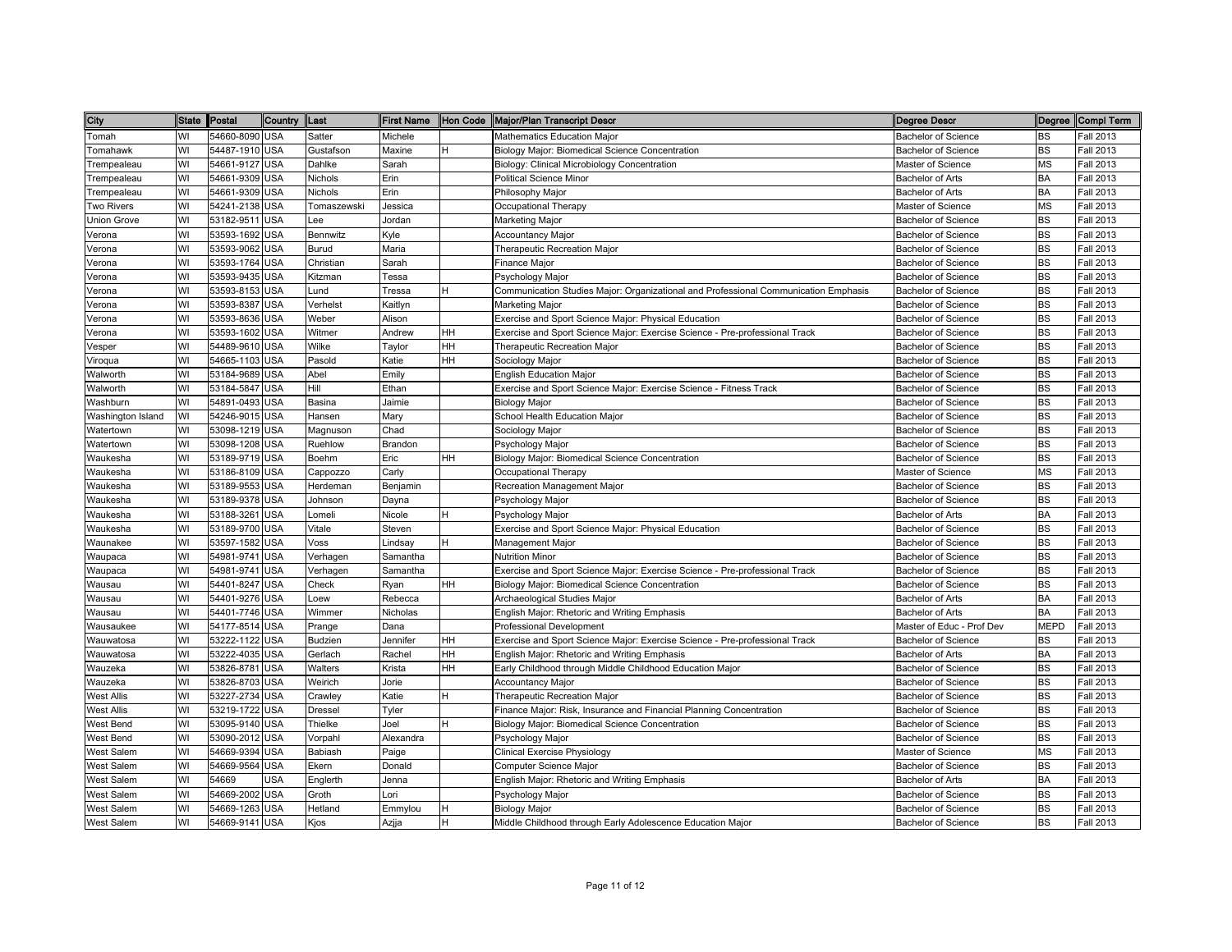| City               | State Postal |                | Country Last |             | <b>First Name</b> |           | Hon Code Major/Plan Transcript Descr                                                | <b>Degree Descr</b>        |             | Degree Compl Term |
|--------------------|--------------|----------------|--------------|-------------|-------------------|-----------|-------------------------------------------------------------------------------------|----------------------------|-------------|-------------------|
| Tomah              | WI           | 54660-8090 USA |              | Satter      | Michele           |           | Mathematics Education Major                                                         | <b>Bachelor of Science</b> | <b>BS</b>   | <b>Fall 2013</b>  |
| Tomahawk           | WI           | 54487-1910 USA |              | Gustafson   | Maxine            | Н         | Biology Major: Biomedical Science Concentration                                     | <b>Bachelor of Science</b> | <b>BS</b>   | Fall 2013         |
| Trempealeau        | WI           | 54661-9127 USA |              | Dahlke      | Sarah             |           | Biology: Clinical Microbiology Concentration                                        | Master of Science          | <b>MS</b>   | <b>Fall 2013</b>  |
| Trempealeau        | WI           | 54661-9309 USA |              | Nichols     | Erin              |           | <b>Political Science Minor</b>                                                      | Bachelor of Arts           | BA          | Fall 2013         |
| Trempealeau        | WI           | 54661-9309 USA |              | Nichols     | Erin              |           | Philosophy Major                                                                    | <b>Bachelor of Arts</b>    | <b>BA</b>   | Fall 2013         |
| <b>Two Rivers</b>  | WI           | 54241-2138 USA |              | Tomaszewski | Jessica           |           | Occupational Therapy                                                                | Master of Science          | <b>MS</b>   | Fall 2013         |
| <b>Union Grove</b> | WI           | 53182-951      | <b>USA</b>   | Lee         | Jordan            |           | Marketing Major                                                                     | <b>Bachelor of Science</b> | <b>BS</b>   | <b>Fall 2013</b>  |
| Verona             | WI           | 53593-1692     | USA          | Bennwitz    | Kyle              |           | <b>Accountancy Major</b>                                                            | <b>Bachelor of Science</b> | <b>BS</b>   | <b>Fall 2013</b>  |
| Verona             | WI           | 53593-9062     | ! USA        | Burud       | Maria             |           | Therapeutic Recreation Major                                                        | <b>Bachelor of Science</b> | <b>BS</b>   | <b>Fall 2013</b>  |
| Verona             | WI           | 53593-1764 USA |              | Christian   | Sarah             |           | Finance Major                                                                       | <b>Bachelor of Science</b> | <b>BS</b>   | <b>Fall 2013</b>  |
| Verona             | WI           | 53593-9435 USA |              | Kitzman     | Tessa             |           | Psychology Major                                                                    | <b>Bachelor of Science</b> | <b>BS</b>   | Fall 2013         |
| Verona             | WI           | 53593-8153 USA |              | Lund        | Tressa            | H         | Communication Studies Major: Organizational and Professional Communication Emphasis | Bachelor of Science        | <b>BS</b>   | Fall 2013         |
| Verona             | WI           | 53593-8387 USA |              | Verhelst    | Kaitlyn           |           | Marketing Major                                                                     | <b>Bachelor of Science</b> | <b>BS</b>   | Fall 2013         |
| Verona             | WI           | 53593-8636 USA |              | Weber       | Alison            |           | Exercise and Sport Science Major: Physical Education                                | Bachelor of Science        | <b>BS</b>   | Fall 2013         |
| Verona             | WI           | 53593-1602 USA |              | Witmer      | Andrew            | HH        | Exercise and Sport Science Major: Exercise Science - Pre-professional Track         | Bachelor of Science        | <b>BS</b>   | Fall 2013         |
| Vesper             | WI           | 54489-9610 USA |              | Wilke       | Taylor            | HH        | Therapeutic Recreation Major                                                        | Bachelor of Science        | <b>BS</b>   | Fall 2013         |
| Viroqua            | WI           | 54665-1103 USA |              | Pasold      | Katie             | <b>HH</b> | Sociology Major                                                                     | <b>Bachelor of Science</b> | <b>BS</b>   | Fall 2013         |
| Walworth           | WI           | 53184-9689 USA |              | Abel        | Emily             |           | <b>English Education Major</b>                                                      | <b>Bachelor of Science</b> | <b>BS</b>   | <b>Fall 2013</b>  |
| Walworth           | WI           | 53184-5847     | <b>USA</b>   | Hill        | Ethan             |           | Exercise and Sport Science Major: Exercise Science - Fitness Track                  | <b>Bachelor of Science</b> | <b>BS</b>   | <b>Fall 2013</b>  |
| Washburn           | WI           | 54891-0493 USA |              | Basina      | Jaimie            |           | <b>Biology Major</b>                                                                | <b>Bachelor of Science</b> | <b>BS</b>   | <b>Fall 2013</b>  |
| Washington Island  | WI           | 54246-9015 USA |              | Hansen      | Mary              |           | School Health Education Major                                                       | <b>Bachelor of Science</b> | <b>BS</b>   | <b>Fall 2013</b>  |
| Watertown          | WI           | 53098-1219     | <b>USA</b>   | Magnuson    | Chad              |           | Sociology Major                                                                     | <b>Bachelor of Science</b> | <b>BS</b>   | Fall 2013         |
| Watertown          | WI           | 53098-1208 USA |              | Ruehlow     | Brandon           |           | Psychology Major                                                                    | <b>Bachelor of Science</b> | <b>BS</b>   | Fall 2013         |
| Waukesha           | WI           | 53189-9719 USA |              | Boehm       | Eric              | <b>HH</b> | Biology Major: Biomedical Science Concentration                                     | <b>Bachelor of Science</b> | <b>BS</b>   | Fall 2013         |
| Waukesha           | WI           | 53186-8109 USA |              | Cappozzo    | Carly             |           | Occupational Therapy                                                                | Master of Science          | <b>MS</b>   | Fall 2013         |
| Waukesha           | WI           | 53189-9553 USA |              | Herdeman    | Benjamin          |           | Recreation Management Major                                                         | <b>Bachelor of Science</b> | <b>BS</b>   | Fall 2013         |
| Waukesha           | WI           | 53189-9378 USA |              | Johnson     | Dayna             |           | Psychology Major                                                                    | <b>Bachelor of Science</b> | <b>BS</b>   | <b>Fall 2013</b>  |
| Waukesha           | WI           | 53188-3261     | <b>USA</b>   | Lomeli      | Nicole            | н         | Psychology Major                                                                    | <b>Bachelor of Arts</b>    | BA          | Fall 2013         |
| Waukesha           | WI           | 53189-9700 USA |              | Vitale      | Steven            |           | Exercise and Sport Science Major: Physical Education                                | <b>Bachelor of Science</b> | <b>BS</b>   | Fall 2013         |
| Waunakee           | WI           | 53597-1582     | <b>USA</b>   | Voss        | indsav            | H         | Management Major                                                                    | <b>Bachelor of Science</b> | <b>BS</b>   | <b>Fall 2013</b>  |
| Waupaca            | WI           | 54981-9741     | <b>USA</b>   | Verhagen    | Samantha          |           | <b>Nutrition Minor</b>                                                              | <b>Bachelor of Science</b> | <b>BS</b>   | <b>Fall 2013</b>  |
| Waupaca            | WI           | 54981-9741     | <b>USA</b>   | Verhagen    | Samantha          |           | Exercise and Sport Science Major: Exercise Science - Pre-professional Track         | <b>Bachelor of Science</b> | <b>BS</b>   | <b>Fall 2013</b>  |
| Wausau             | WI           | 54401-8247     | <b>USA</b>   | Check       | Ryan              | <b>HH</b> | Biology Major: Biomedical Science Concentration                                     | <b>Bachelor of Science</b> | <b>BS</b>   | <b>Fall 2013</b>  |
| Wausau             | WI           | 54401-9276 USA |              | Loew        | Rebecca           |           | Archaeological Studies Major                                                        | Bachelor of Arts           | <b>BA</b>   | Fall 2013         |
| Wausau             | WI           | 54401-7746 USA |              | Wimmer      | Nicholas          |           | English Major: Rhetoric and Writing Emphasis                                        | Bachelor of Arts           | <b>BA</b>   | Fall 2013         |
| Wausaukee          | WI           | 54177-8514 USA |              | Prange      | Dana              |           | Professional Development                                                            | Master of Educ - Prof Dev  | <b>MEPD</b> | <b>Fall 2013</b>  |
| Wauwatosa          | WI           | 53222-1122 USA |              | Budzien     | Jennifer          | <b>HH</b> | Exercise and Sport Science Major: Exercise Science - Pre-professional Track         | Bachelor of Science        | BS          | <b>Fall 2013</b>  |
| Wauwatosa          | WI           | 53222-4035 USA |              | Gerlach     | Rachel            | HH        | English Major: Rhetoric and Writing Emphasis                                        | <b>Bachelor of Arts</b>    | <b>BA</b>   | <b>Fall 2013</b>  |
| Wauzeka            | WI           | 53826-8781     | <b>USA</b>   | Walters     | Krista            | HH        | Early Childhood through Middle Childhood Education Major                            | Bachelor of Science        | <b>BS</b>   | <b>Fall 2013</b>  |
| Wauzeka            | WI           | 53826-8703 USA |              | Weirich     | Jorie             |           | <b>Accountancy Major</b>                                                            | <b>Bachelor of Science</b> | <b>BS</b>   | Fall 2013         |
| <b>West Allis</b>  | WI           | 53227-2734     | <b>USA</b>   | Crawley     | Katie             | н         | Therapeutic Recreation Major                                                        | <b>Bachelor of Science</b> | <b>BS</b>   | Fall 2013         |
| <b>West Allis</b>  | WI           | 53219-1722     | <b>USA</b>   | Dressel     | Tyler             |           | Finance Major: Risk, Insurance and Financial Planning Concentration                 | <b>Bachelor of Science</b> | <b>BS</b>   | <b>Fall 2013</b>  |
| West Bend          | WI           | 53095-9140 USA |              | Thielke     | Joel              | H         | Biology Major: Biomedical Science Concentration                                     | <b>Bachelor of Science</b> | <b>BS</b>   | <b>Fall 2013</b>  |
| West Bend          | WI           | 53090-2012     | <b>USA</b>   | Vorpahl     | Alexandra         |           | Psychology Major                                                                    | <b>Bachelor of Science</b> | <b>BS</b>   | <b>Fall 2013</b>  |
| West Salem         | WI           | 54669-9394 USA |              | Babiash     | Paige             |           | Clinical Exercise Physiology                                                        | Master of Science          | <b>MS</b>   | <b>Fall 2013</b>  |
| West Salem         | WI           | 54669-9564 USA |              | Ekern       | Donald            |           | Computer Science Major                                                              | <b>Bachelor of Science</b> | <b>BS</b>   | <b>Fall 2013</b>  |
| West Salem         | WI           | 54669          | <b>USA</b>   | Englerth    | Jenna             |           | English Major: Rhetoric and Writing Emphasis                                        | <b>Bachelor of Arts</b>    | <b>BA</b>   | Fall 2013         |
| West Salem         | WI           | 54669-2002 USA |              | Groth       | Lori              |           | Psychology Major                                                                    | Bachelor of Science        | <b>BS</b>   | Fall 2013         |
| West Salem         | WI           | 54669-1263 USA |              | Hetland     | Emmylou           | H         | <b>Biology Major</b>                                                                | Bachelor of Science        | <b>BS</b>   | Fall 2013         |
| <b>West Salem</b>  | WI           | 54669-9141 USA |              | Kjos        | Azjja             | H         | Middle Childhood through Early Adolescence Education Major                          | <b>Bachelor of Science</b> | <b>BS</b>   | <b>Fall 2013</b>  |